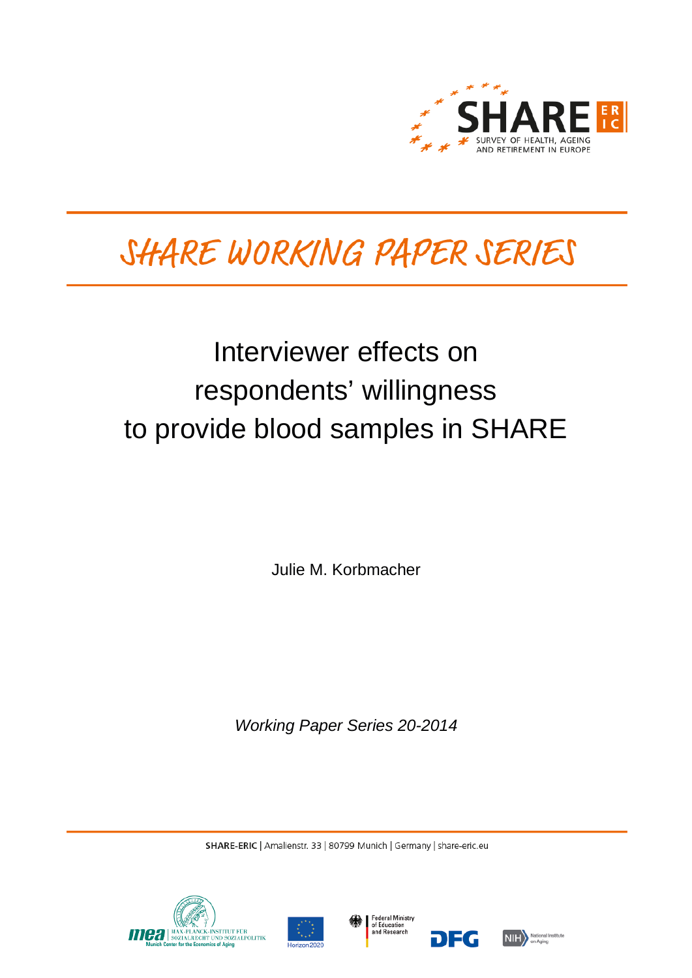

# SHARE WORKING PAPER SERIES

# Interviewer effects on respondents' willingness to provide blood samples in SHARE

Julie M. Korbmacher

*Working Paper Series 20-2014*

SHARE-ERIC | Amalienstr. 33 | 80799 Munich | Germany | share-eric.eu







DEG

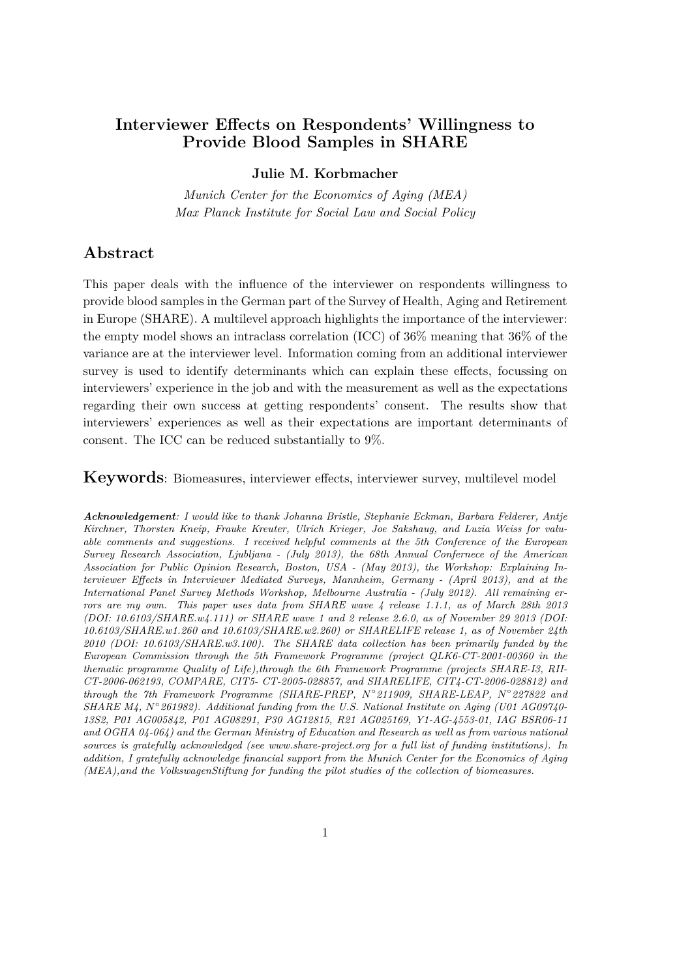# **Interviewer Effects on Respondents' Willingness to Provide Blood Samples in SHARE**

## **Julie M. Korbmacher**

*Munich Center for the Economics of Aging (MEA) Max Planck Institute for Social Law and Social Policy*

## **Abstract**

This paper deals with the influence of the interviewer on respondents willingness to provide blood samples in the German part of the Survey of Health, Aging and Retirement in Europe (SHARE). A multilevel approach highlights the importance of the interviewer: the empty model shows an intraclass correlation (ICC) of 36% meaning that 36% of the variance are at the interviewer level. Information coming from an additional interviewer survey is used to identify determinants which can explain these effects, focussing on interviewers' experience in the job and with the measurement as well as the expectations regarding their own success at getting respondents' consent. The results show that interviewers' experiences as well as their expectations are important determinants of consent. The ICC can be reduced substantially to 9%.

**Keywords**: Biomeasures, interviewer effects, interviewer survey, multilevel model

*Acknowledgement: I would like to thank Johanna Bristle, Stephanie Eckman, Barbara Felderer, Antje Kirchner, Thorsten Kneip, Frauke Kreuter, Ulrich Krieger, Joe Sakshaug, and Luzia Weiss for valuable comments and suggestions. I received helpful comments at the 5th Conference of the European Survey Research Association, Ljubljana - (July 2013), the 68th Annual Confernece of the American Association for Public Opinion Research, Boston, USA - (May 2013), the Workshop: Explaining Interviewer Effects in Interviewer Mediated Surveys, Mannheim, Germany - (April 2013), and at the International Panel Survey Methods Workshop, Melbourne Australia - (July 2012). All remaining errors are my own. This paper uses data from SHARE wave 4 release 1.1.1, as of March 28th 2013 (DOI: 10.6103/SHARE.w4.111) or SHARE wave 1 and 2 release 2.6.0, as of November 29 2013 (DOI: 10.6103/SHARE.w1.260 and 10.6103/SHARE.w2.260) or SHARELIFE release 1, as of November 24th 2010 (DOI: 10.6103/SHARE.w3.100). The SHARE data collection has been primarily funded by the European Commission through the 5th Framework Programme (project QLK6-CT-2001-00360 in the thematic programme Quality of Life),through the 6th Framework Programme (projects SHARE-I3, RII-CT-2006-062193, COMPARE, CIT5- CT-2005-028857, and SHARELIFE, CIT4-CT-2006-028812) and through the 7th Framework Programme (SHARE-PREP, N* ◦ *211909, SHARE-LEAP, N* ◦ *227822 and SHARE M4, N° 261982). Additional funding from the U.S. National Institute on Aging (U01 AG09740-13S2, P01 AG005842, P01 AG08291, P30 AG12815, R21 AG025169, Y1-AG-4553-01, IAG BSR06-11 and OGHA 04-064) and the German Ministry of Education and Research as well as from various national sources is gratefully acknowledged (see www.share-project.org for a full list of funding institutions). In addition, I gratefully acknowledge financial support from the Munich Center for the Economics of Aging (MEA),and the VolkswagenStiftung for funding the pilot studies of the collection of biomeasures.*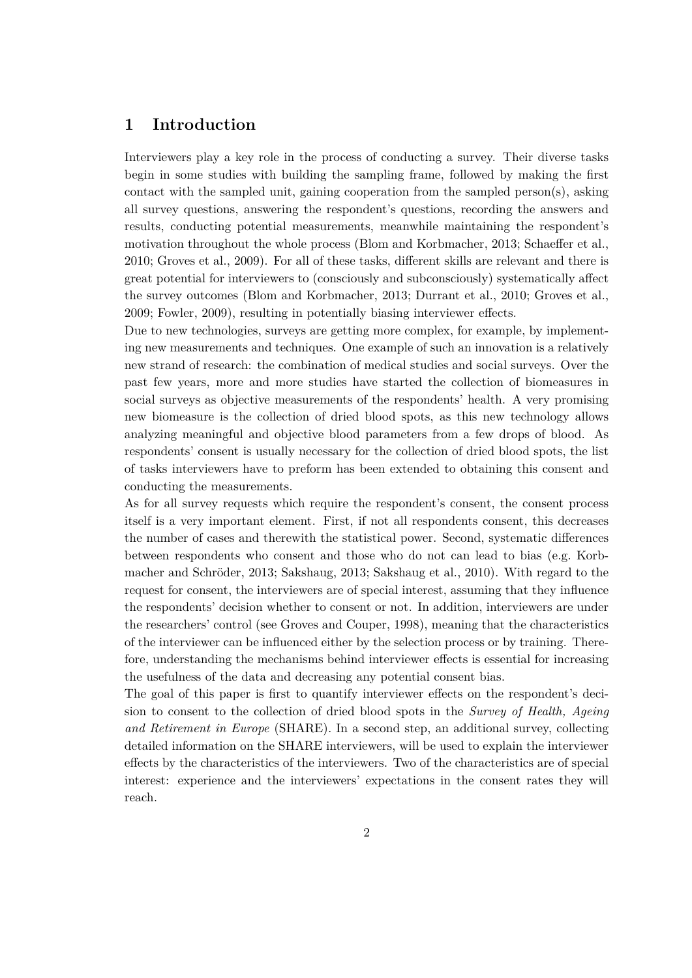# **1 Introduction**

Interviewers play a key role in the process of conducting a survey. Their diverse tasks begin in some studies with building the sampling frame, followed by making the first contact with the sampled unit, gaining cooperation from the sampled person $(s)$ , asking all survey questions, answering the respondent's questions, recording the answers and results, conducting potential measurements, meanwhile maintaining the respondent's motivation throughout the whole process (Blom and Korbmacher, 2013; Schaeffer et al., 2010; Groves et al., 2009). For all of these tasks, different skills are relevant and there is great potential for interviewers to (consciously and subconsciously) systematically affect the survey outcomes (Blom and Korbmacher, 2013; Durrant et al., 2010; Groves et al., 2009; Fowler, 2009), resulting in potentially biasing interviewer effects.

Due to new technologies, surveys are getting more complex, for example, by implementing new measurements and techniques. One example of such an innovation is a relatively new strand of research: the combination of medical studies and social surveys. Over the past few years, more and more studies have started the collection of biomeasures in social surveys as objective measurements of the respondents' health. A very promising new biomeasure is the collection of dried blood spots, as this new technology allows analyzing meaningful and objective blood parameters from a few drops of blood. As respondents' consent is usually necessary for the collection of dried blood spots, the list of tasks interviewers have to preform has been extended to obtaining this consent and conducting the measurements.

As for all survey requests which require the respondent's consent, the consent process itself is a very important element. First, if not all respondents consent, this decreases the number of cases and therewith the statistical power. Second, systematic differences between respondents who consent and those who do not can lead to bias (e.g. Korbmacher and Schröder, 2013; Sakshaug, 2013; Sakshaug et al., 2010). With regard to the request for consent, the interviewers are of special interest, assuming that they influence the respondents' decision whether to consent or not. In addition, interviewers are under the researchers' control (see Groves and Couper, 1998), meaning that the characteristics of the interviewer can be influenced either by the selection process or by training. Therefore, understanding the mechanisms behind interviewer effects is essential for increasing the usefulness of the data and decreasing any potential consent bias.

The goal of this paper is first to quantify interviewer effects on the respondent's decision to consent to the collection of dried blood spots in the *Survey of Health, Ageing and Retirement in Europe* (SHARE). In a second step, an additional survey, collecting detailed information on the SHARE interviewers, will be used to explain the interviewer effects by the characteristics of the interviewers. Two of the characteristics are of special interest: experience and the interviewers' expectations in the consent rates they will reach.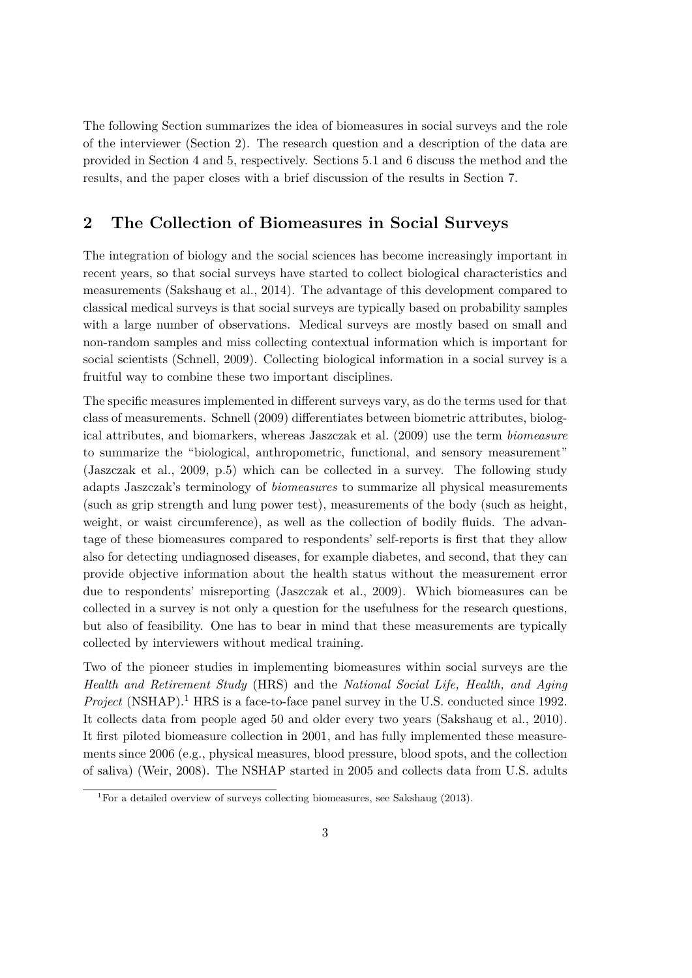The following Section summarizes the idea of biomeasures in social surveys and the role of the interviewer (Section 2). The research question and a description of the data are provided in Section 4 and 5, respectively. Sections 5.1 and 6 discuss the method and the results, and the paper closes with a brief discussion of the results in Section 7.

# **2 The Collection of Biomeasures in Social Surveys**

The integration of biology and the social sciences has become increasingly important in recent years, so that social surveys have started to collect biological characteristics and measurements (Sakshaug et al., 2014). The advantage of this development compared to classical medical surveys is that social surveys are typically based on probability samples with a large number of observations. Medical surveys are mostly based on small and non-random samples and miss collecting contextual information which is important for social scientists (Schnell, 2009). Collecting biological information in a social survey is a fruitful way to combine these two important disciplines.

The specific measures implemented in different surveys vary, as do the terms used for that class of measurements. Schnell (2009) differentiates between biometric attributes, biological attributes, and biomarkers, whereas Jaszczak et al. (2009) use the term *biomeasure* to summarize the "biological, anthropometric, functional, and sensory measurement" (Jaszczak et al., 2009, p.5) which can be collected in a survey. The following study adapts Jaszczak's terminology of *biomeasures* to summarize all physical measurements (such as grip strength and lung power test), measurements of the body (such as height, weight, or waist circumference), as well as the collection of bodily fluids. The advantage of these biomeasures compared to respondents' self-reports is first that they allow also for detecting undiagnosed diseases, for example diabetes, and second, that they can provide objective information about the health status without the measurement error due to respondents' misreporting (Jaszczak et al., 2009). Which biomeasures can be collected in a survey is not only a question for the usefulness for the research questions, but also of feasibility. One has to bear in mind that these measurements are typically collected by interviewers without medical training.

Two of the pioneer studies in implementing biomeasures within social surveys are the *Health and Retirement Study* (HRS) and the *National Social Life, Health, and Aging Project* (NSHAP).<sup>1</sup> HRS is a face-to-face panel survey in the U.S. conducted since 1992. It collects data from people aged 50 and older every two years (Sakshaug et al., 2010). It first piloted biomeasure collection in 2001, and has fully implemented these measurements since 2006 (e.g., physical measures, blood pressure, blood spots, and the collection of saliva) (Weir, 2008). The NSHAP started in 2005 and collects data from U.S. adults

<sup>1</sup>For a detailed overview of surveys collecting biomeasures, see Sakshaug (2013).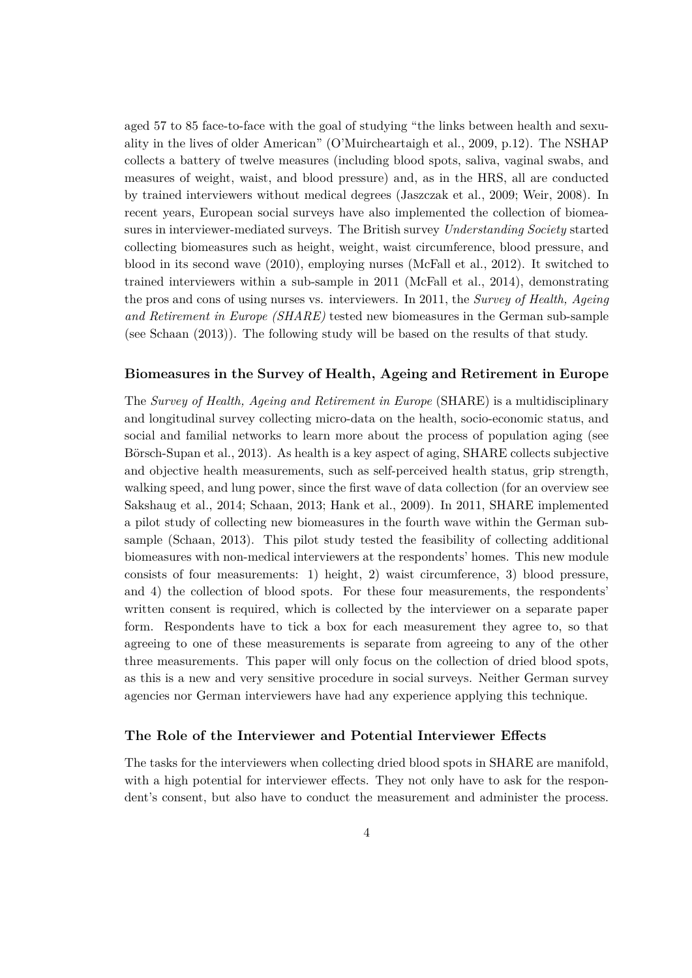aged 57 to 85 face-to-face with the goal of studying "the links between health and sexuality in the lives of older American" (O'Muircheartaigh et al., 2009, p.12). The NSHAP collects a battery of twelve measures (including blood spots, saliva, vaginal swabs, and measures of weight, waist, and blood pressure) and, as in the HRS, all are conducted by trained interviewers without medical degrees (Jaszczak et al., 2009; Weir, 2008). In recent years, European social surveys have also implemented the collection of biomeasures in interviewer-mediated surveys. The British survey *Understanding Society* started collecting biomeasures such as height, weight, waist circumference, blood pressure, and blood in its second wave (2010), employing nurses (McFall et al., 2012). It switched to trained interviewers within a sub-sample in 2011 (McFall et al., 2014), demonstrating the pros and cons of using nurses vs. interviewers. In 2011, the *Survey of Health, Ageing and Retirement in Europe (SHARE)* tested new biomeasures in the German sub-sample (see Schaan (2013)). The following study will be based on the results of that study.

## **Biomeasures in the Survey of Health, Ageing and Retirement in Europe**

The *Survey of Health, Ageing and Retirement in Europe* (SHARE) is a multidisciplinary and longitudinal survey collecting micro-data on the health, socio-economic status, and social and familial networks to learn more about the process of population aging (see Börsch-Supan et al., 2013). As health is a key aspect of aging, SHARE collects subjective and objective health measurements, such as self-perceived health status, grip strength, walking speed, and lung power, since the first wave of data collection (for an overview see Sakshaug et al., 2014; Schaan, 2013; Hank et al., 2009). In 2011, SHARE implemented a pilot study of collecting new biomeasures in the fourth wave within the German subsample (Schaan, 2013). This pilot study tested the feasibility of collecting additional biomeasures with non-medical interviewers at the respondents' homes. This new module consists of four measurements: 1) height, 2) waist circumference, 3) blood pressure, and 4) the collection of blood spots. For these four measurements, the respondents' written consent is required, which is collected by the interviewer on a separate paper form. Respondents have to tick a box for each measurement they agree to, so that agreeing to one of these measurements is separate from agreeing to any of the other three measurements. This paper will only focus on the collection of dried blood spots, as this is a new and very sensitive procedure in social surveys. Neither German survey agencies nor German interviewers have had any experience applying this technique.

#### **The Role of the Interviewer and Potential Interviewer Effects**

The tasks for the interviewers when collecting dried blood spots in SHARE are manifold, with a high potential for interviewer effects. They not only have to ask for the respondent's consent, but also have to conduct the measurement and administer the process.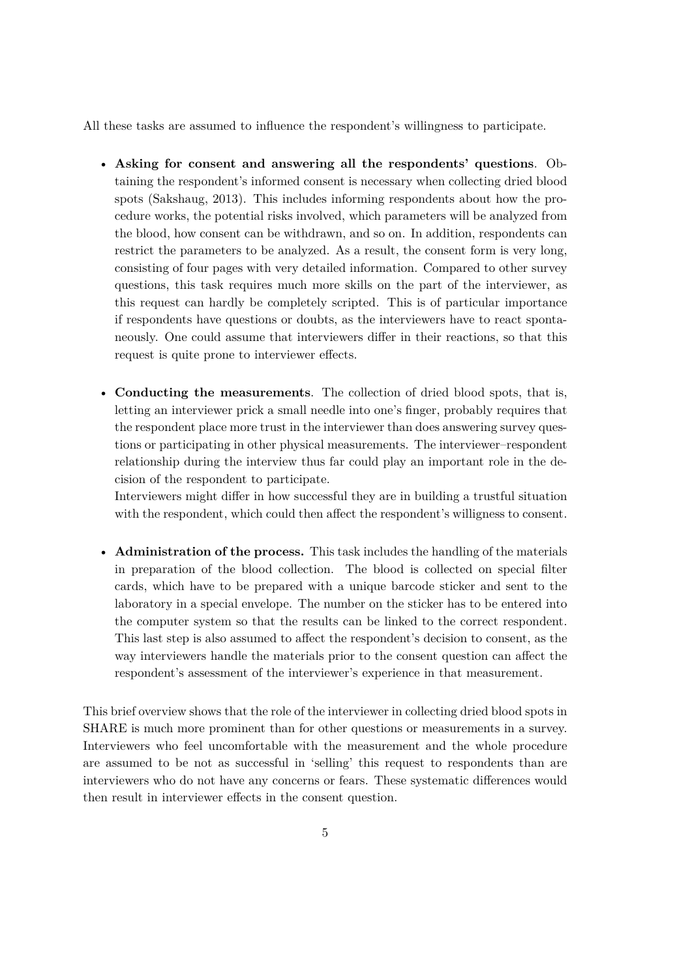All these tasks are assumed to influence the respondent's willingness to participate.

- **Asking for consent and answering all the respondents' questions**. Obtaining the respondent's informed consent is necessary when collecting dried blood spots (Sakshaug, 2013). This includes informing respondents about how the procedure works, the potential risks involved, which parameters will be analyzed from the blood, how consent can be withdrawn, and so on. In addition, respondents can restrict the parameters to be analyzed. As a result, the consent form is very long, consisting of four pages with very detailed information. Compared to other survey questions, this task requires much more skills on the part of the interviewer, as this request can hardly be completely scripted. This is of particular importance if respondents have questions or doubts, as the interviewers have to react spontaneously. One could assume that interviewers differ in their reactions, so that this request is quite prone to interviewer effects.
- **Conducting the measurements**. The collection of dried blood spots, that is, letting an interviewer prick a small needle into one's finger, probably requires that the respondent place more trust in the interviewer than does answering survey questions or participating in other physical measurements. The interviewer–respondent relationship during the interview thus far could play an important role in the decision of the respondent to participate.

Interviewers might differ in how successful they are in building a trustful situation with the respondent, which could then affect the respondent's willigness to consent.

• **Administration of the process.** This task includes the handling of the materials in preparation of the blood collection. The blood is collected on special filter cards, which have to be prepared with a unique barcode sticker and sent to the laboratory in a special envelope. The number on the sticker has to be entered into the computer system so that the results can be linked to the correct respondent. This last step is also assumed to affect the respondent's decision to consent, as the way interviewers handle the materials prior to the consent question can affect the respondent's assessment of the interviewer's experience in that measurement.

This brief overview shows that the role of the interviewer in collecting dried blood spots in SHARE is much more prominent than for other questions or measurements in a survey. Interviewers who feel uncomfortable with the measurement and the whole procedure are assumed to be not as successful in 'selling' this request to respondents than are interviewers who do not have any concerns or fears. These systematic differences would then result in interviewer effects in the consent question.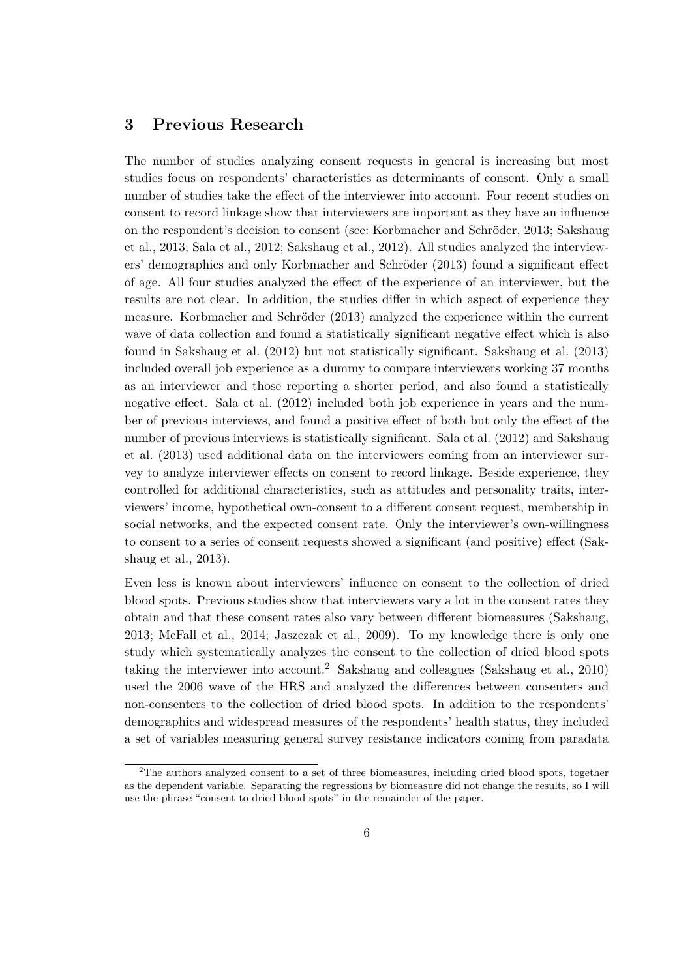# **3 Previous Research**

The number of studies analyzing consent requests in general is increasing but most studies focus on respondents' characteristics as determinants of consent. Only a small number of studies take the effect of the interviewer into account. Four recent studies on consent to record linkage show that interviewers are important as they have an influence on the respondent's decision to consent (see: Korbmacher and Schröder, 2013; Sakshaug et al., 2013; Sala et al., 2012; Sakshaug et al., 2012). All studies analyzed the interviewers' demographics and only Korbmacher and Schröder (2013) found a significant effect of age. All four studies analyzed the effect of the experience of an interviewer, but the results are not clear. In addition, the studies differ in which aspect of experience they measure. Korbmacher and Schröder (2013) analyzed the experience within the current wave of data collection and found a statistically significant negative effect which is also found in Sakshaug et al. (2012) but not statistically significant. Sakshaug et al. (2013) included overall job experience as a dummy to compare interviewers working 37 months as an interviewer and those reporting a shorter period, and also found a statistically negative effect. Sala et al. (2012) included both job experience in years and the number of previous interviews, and found a positive effect of both but only the effect of the number of previous interviews is statistically significant. Sala et al. (2012) and Sakshaug et al. (2013) used additional data on the interviewers coming from an interviewer survey to analyze interviewer effects on consent to record linkage. Beside experience, they controlled for additional characteristics, such as attitudes and personality traits, interviewers' income, hypothetical own-consent to a different consent request, membership in social networks, and the expected consent rate. Only the interviewer's own-willingness to consent to a series of consent requests showed a significant (and positive) effect (Sakshaug et al., 2013).

Even less is known about interviewers' influence on consent to the collection of dried blood spots. Previous studies show that interviewers vary a lot in the consent rates they obtain and that these consent rates also vary between different biomeasures (Sakshaug, 2013; McFall et al., 2014; Jaszczak et al., 2009). To my knowledge there is only one study which systematically analyzes the consent to the collection of dried blood spots taking the interviewer into account.<sup>2</sup> Sakshaug and colleagues (Sakshaug et al., 2010) used the 2006 wave of the HRS and analyzed the differences between consenters and non-consenters to the collection of dried blood spots. In addition to the respondents' demographics and widespread measures of the respondents' health status, they included a set of variables measuring general survey resistance indicators coming from paradata

<sup>2</sup>The authors analyzed consent to a set of three biomeasures, including dried blood spots, together as the dependent variable. Separating the regressions by biomeasure did not change the results, so I will use the phrase "consent to dried blood spots" in the remainder of the paper.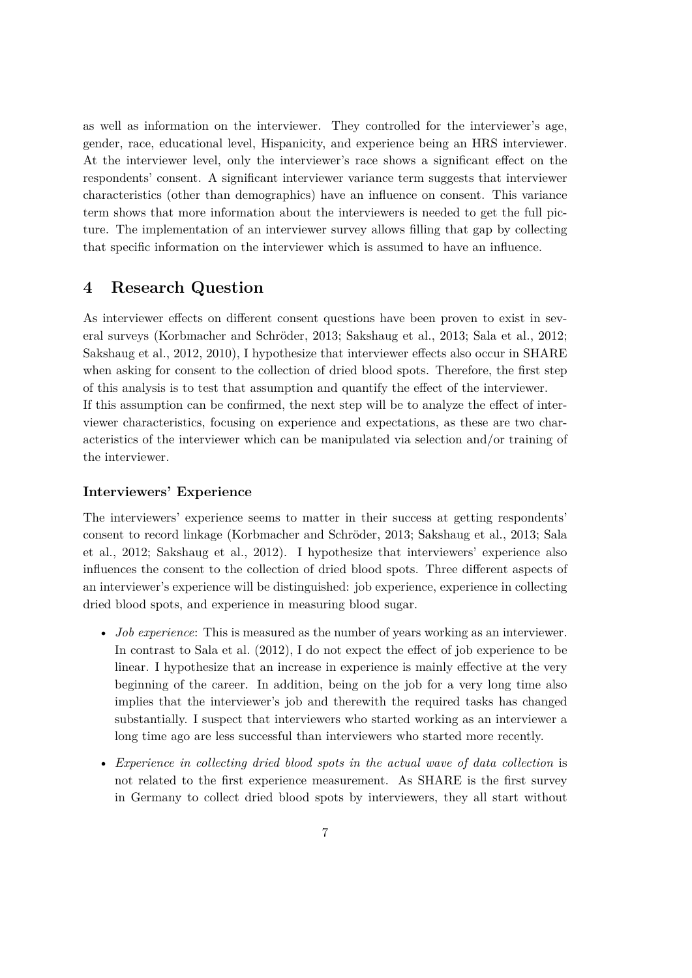as well as information on the interviewer. They controlled for the interviewer's age, gender, race, educational level, Hispanicity, and experience being an HRS interviewer. At the interviewer level, only the interviewer's race shows a significant effect on the respondents' consent. A significant interviewer variance term suggests that interviewer characteristics (other than demographics) have an influence on consent. This variance term shows that more information about the interviewers is needed to get the full picture. The implementation of an interviewer survey allows filling that gap by collecting that specific information on the interviewer which is assumed to have an influence.

# **4 Research Question**

As interviewer effects on different consent questions have been proven to exist in several surveys (Korbmacher and Schröder, 2013; Sakshaug et al., 2013; Sala et al., 2012; Sakshaug et al., 2012, 2010), I hypothesize that interviewer effects also occur in SHARE when asking for consent to the collection of dried blood spots. Therefore, the first step of this analysis is to test that assumption and quantify the effect of the interviewer. If this assumption can be confirmed, the next step will be to analyze the effect of interviewer characteristics, focusing on experience and expectations, as these are two characteristics of the interviewer which can be manipulated via selection and/or training of the interviewer.

## **Interviewers' Experience**

The interviewers' experience seems to matter in their success at getting respondents' consent to record linkage (Korbmacher and Schröder, 2013; Sakshaug et al., 2013; Sala et al., 2012; Sakshaug et al., 2012). I hypothesize that interviewers' experience also influences the consent to the collection of dried blood spots. Three different aspects of an interviewer's experience will be distinguished: job experience, experience in collecting dried blood spots, and experience in measuring blood sugar.

- *Job experience*: This is measured as the number of years working as an interviewer. In contrast to Sala et al. (2012), I do not expect the effect of job experience to be linear. I hypothesize that an increase in experience is mainly effective at the very beginning of the career. In addition, being on the job for a very long time also implies that the interviewer's job and therewith the required tasks has changed substantially. I suspect that interviewers who started working as an interviewer a long time ago are less successful than interviewers who started more recently.
- *Experience in collecting dried blood spots in the actual wave of data collection* is not related to the first experience measurement. As SHARE is the first survey in Germany to collect dried blood spots by interviewers, they all start without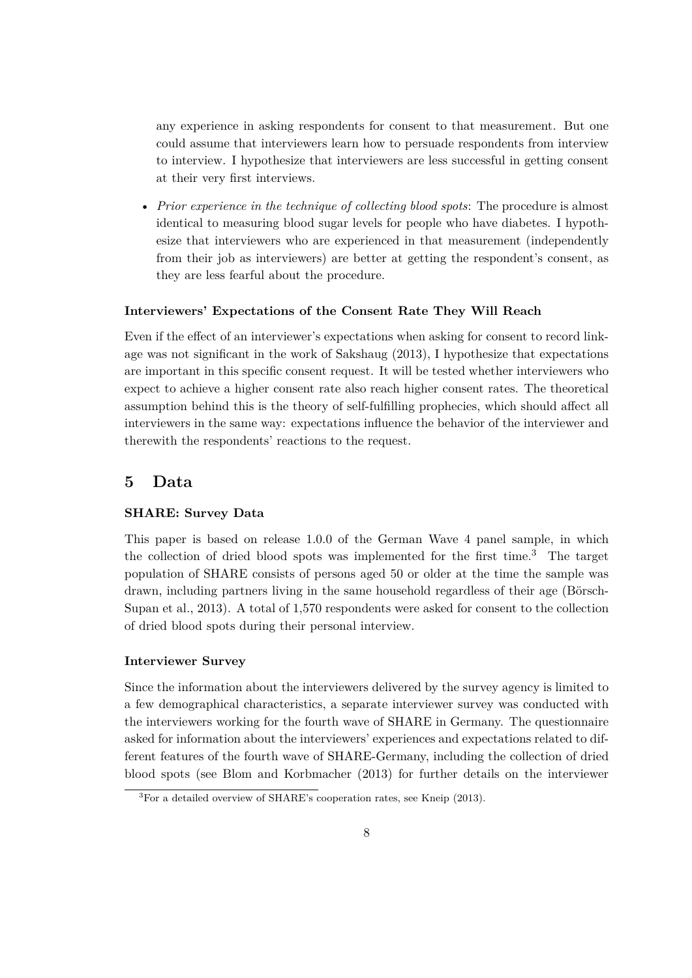any experience in asking respondents for consent to that measurement. But one could assume that interviewers learn how to persuade respondents from interview to interview. I hypothesize that interviewers are less successful in getting consent at their very first interviews.

• *Prior experience in the technique of collecting blood spots*: The procedure is almost identical to measuring blood sugar levels for people who have diabetes. I hypothesize that interviewers who are experienced in that measurement (independently from their job as interviewers) are better at getting the respondent's consent, as they are less fearful about the procedure.

## **Interviewers' Expectations of the Consent Rate They Will Reach**

Even if the effect of an interviewer's expectations when asking for consent to record linkage was not significant in the work of Sakshaug (2013), I hypothesize that expectations are important in this specific consent request. It will be tested whether interviewers who expect to achieve a higher consent rate also reach higher consent rates. The theoretical assumption behind this is the theory of self-fulfilling prophecies, which should affect all interviewers in the same way: expectations influence the behavior of the interviewer and therewith the respondents' reactions to the request.

# **5 Data**

## **SHARE: Survey Data**

This paper is based on release 1.0.0 of the German Wave 4 panel sample, in which the collection of dried blood spots was implemented for the first time.<sup>3</sup> The target population of SHARE consists of persons aged 50 or older at the time the sample was drawn, including partners living in the same household regardless of their age (Börsch-Supan et al., 2013). A total of 1,570 respondents were asked for consent to the collection of dried blood spots during their personal interview.

## **Interviewer Survey**

Since the information about the interviewers delivered by the survey agency is limited to a few demographical characteristics, a separate interviewer survey was conducted with the interviewers working for the fourth wave of SHARE in Germany. The questionnaire asked for information about the interviewers' experiences and expectations related to different features of the fourth wave of SHARE-Germany, including the collection of dried blood spots (see Blom and Korbmacher (2013) for further details on the interviewer

<sup>3</sup>For a detailed overview of SHARE's cooperation rates, see Kneip (2013).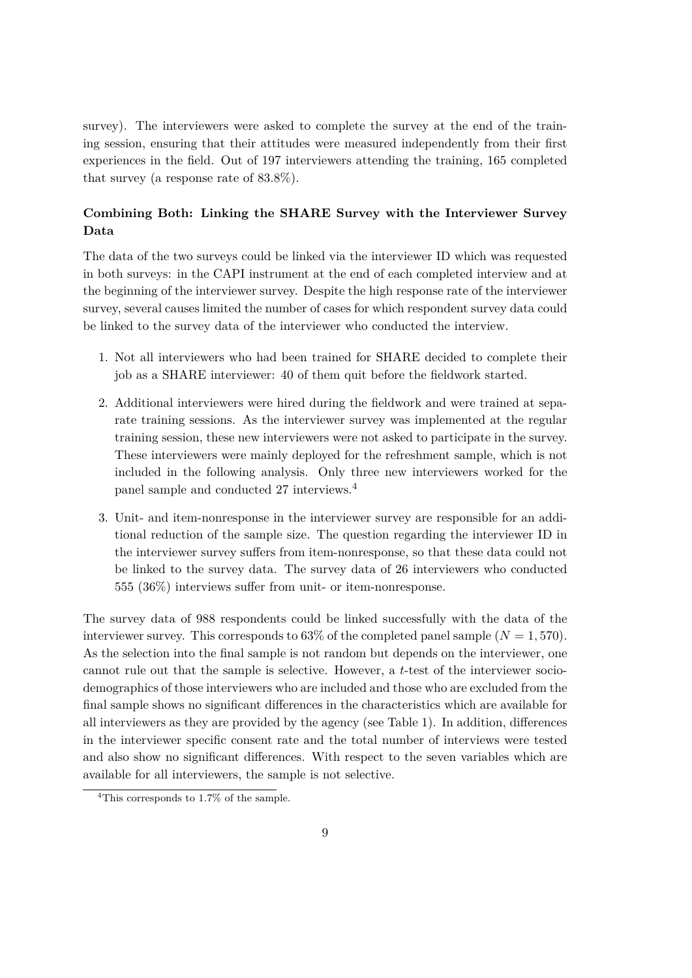survey). The interviewers were asked to complete the survey at the end of the training session, ensuring that their attitudes were measured independently from their first experiences in the field. Out of 197 interviewers attending the training, 165 completed that survey (a response rate of 83.8%).

## **Combining Both: Linking the SHARE Survey with the Interviewer Survey Data**

The data of the two surveys could be linked via the interviewer ID which was requested in both surveys: in the CAPI instrument at the end of each completed interview and at the beginning of the interviewer survey. Despite the high response rate of the interviewer survey, several causes limited the number of cases for which respondent survey data could be linked to the survey data of the interviewer who conducted the interview.

- 1. Not all interviewers who had been trained for SHARE decided to complete their job as a SHARE interviewer: 40 of them quit before the fieldwork started.
- 2. Additional interviewers were hired during the fieldwork and were trained at separate training sessions. As the interviewer survey was implemented at the regular training session, these new interviewers were not asked to participate in the survey. These interviewers were mainly deployed for the refreshment sample, which is not included in the following analysis. Only three new interviewers worked for the panel sample and conducted 27 interviews.<sup>4</sup>
- 3. Unit- and item-nonresponse in the interviewer survey are responsible for an additional reduction of the sample size. The question regarding the interviewer ID in the interviewer survey suffers from item-nonresponse, so that these data could not be linked to the survey data. The survey data of 26 interviewers who conducted 555 (36%) interviews suffer from unit- or item-nonresponse.

The survey data of 988 respondents could be linked successfully with the data of the interviewer survey. This corresponds to  $63\%$  of the completed panel sample  $(N = 1, 570)$ . As the selection into the final sample is not random but depends on the interviewer, one cannot rule out that the sample is selective. However, a *t*-test of the interviewer sociodemographics of those interviewers who are included and those who are excluded from the final sample shows no significant differences in the characteristics which are available for all interviewers as they are provided by the agency (see Table 1). In addition, differences in the interviewer specific consent rate and the total number of interviews were tested and also show no significant differences. With respect to the seven variables which are available for all interviewers, the sample is not selective.

<sup>&</sup>lt;sup>4</sup>This corresponds to 1.7% of the sample.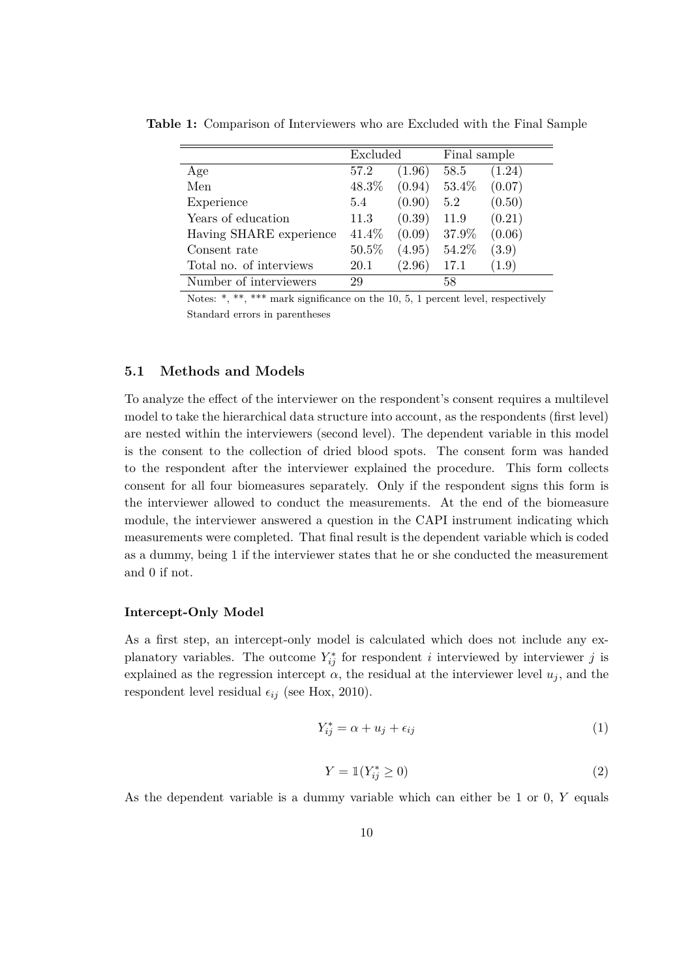|                         | Excluded |        | Final sample |        |
|-------------------------|----------|--------|--------------|--------|
| Age                     | 57.2     | (1.96) | 58.5         | (1.24) |
| Men                     | 48.3%    | (0.94) | 53.4%        | (0.07) |
| Experience              | 5.4      | (0.90) | 5.2          | (0.50) |
| Years of education      | 11.3     | (0.39) | 11.9         | (0.21) |
| Having SHARE experience | 41.4%    | (0.09) | 37.9%        | (0.06) |
| Consent rate            | 50.5%    | (4.95) | 54.2%        | (3.9)  |
| Total no. of interviews | 20.1     | (2.96) | 17.1         | (1.9)  |
| Number of interviewers  | 29       |        | 58           |        |

**Table 1:** Comparison of Interviewers who are Excluded with the Final Sample

Notes: \*, \*\*, \*\*\* mark significance on the 10, 5, 1 percent level, respectively Standard errors in parentheses

## **5.1 Methods and Models**

To analyze the effect of the interviewer on the respondent's consent requires a multilevel model to take the hierarchical data structure into account, as the respondents (first level) are nested within the interviewers (second level). The dependent variable in this model is the consent to the collection of dried blood spots. The consent form was handed to the respondent after the interviewer explained the procedure. This form collects consent for all four biomeasures separately. Only if the respondent signs this form is the interviewer allowed to conduct the measurements. At the end of the biomeasure module, the interviewer answered a question in the CAPI instrument indicating which measurements were completed. That final result is the dependent variable which is coded as a dummy, being 1 if the interviewer states that he or she conducted the measurement and 0 if not.

#### **Intercept-Only Model**

As a first step, an intercept-only model is calculated which does not include any explanatory variables. The outcome  $Y_{ij}^*$  for respondent *i* interviewed by interviewer *j* is explained as the regression intercept  $\alpha$ , the residual at the interviewer level  $u_j$ , and the respondent level residual  $\epsilon_{ij}$  (see Hox, 2010).

$$
Y_{ij}^* = \alpha + u_j + \epsilon_{ij} \tag{1}
$$

$$
Y = \mathbb{1}(Y_{ij}^* \ge 0) \tag{2}
$$

As the dependent variable is a dummy variable which can either be 1 or 0, *Y* equals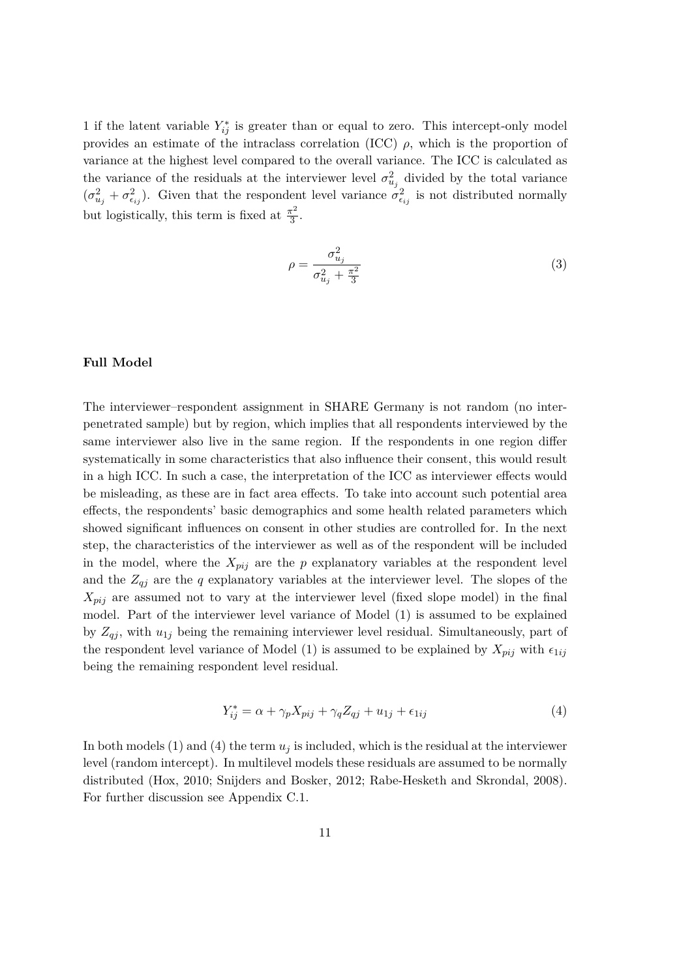1 if the latent variable  $Y_{ij}^*$  is greater than or equal to zero. This intercept-only model provides an estimate of the intraclass correlation (ICC) *ρ*, which is the proportion of variance at the highest level compared to the overall variance. The ICC is calculated as the variance of the residuals at the interviewer level  $\sigma_{u_j}^2$  divided by the total variance  $(\sigma_{u_j}^2 + \sigma_{e_{ij}}^2)$ . Given that the respondent level variance  $\sigma_{e_{ij}}^2$  is not distributed normally but logistically, this term is fixed at  $\frac{\pi^2}{3}$  $\frac{1}{3}$ .

$$
\rho = \frac{\sigma_{u_j}^2}{\sigma_{u_j}^2 + \frac{\pi^2}{3}}\tag{3}
$$

## **Full Model**

The interviewer–respondent assignment in SHARE Germany is not random (no interpenetrated sample) but by region, which implies that all respondents interviewed by the same interviewer also live in the same region. If the respondents in one region differ systematically in some characteristics that also influence their consent, this would result in a high ICC. In such a case, the interpretation of the ICC as interviewer effects would be misleading, as these are in fact area effects. To take into account such potential area effects, the respondents' basic demographics and some health related parameters which showed significant influences on consent in other studies are controlled for. In the next step, the characteristics of the interviewer as well as of the respondent will be included in the model, where the  $X_{pij}$  are the  $p$  explanatory variables at the respondent level and the  $Z_{qj}$  are the *q* explanatory variables at the interviewer level. The slopes of the *Xpij* are assumed not to vary at the interviewer level (fixed slope model) in the final model. Part of the interviewer level variance of Model (1) is assumed to be explained by  $Z_{qj}$ , with  $u_{1j}$  being the remaining interviewer level residual. Simultaneously, part of the respondent level variance of Model (1) is assumed to be explained by  $X_{pij}$  with  $\epsilon_{1ij}$ being the remaining respondent level residual.

$$
Y_{ij}^* = \alpha + \gamma_p X_{pij} + \gamma_q Z_{qj} + u_{1j} + \epsilon_{1ij}
$$
\n
$$
\tag{4}
$$

In both models (1) and (4) the term  $u_j$  is included, which is the residual at the interviewer level (random intercept). In multilevel models these residuals are assumed to be normally distributed (Hox, 2010; Snijders and Bosker, 2012; Rabe-Hesketh and Skrondal, 2008). For further discussion see Appendix C.1.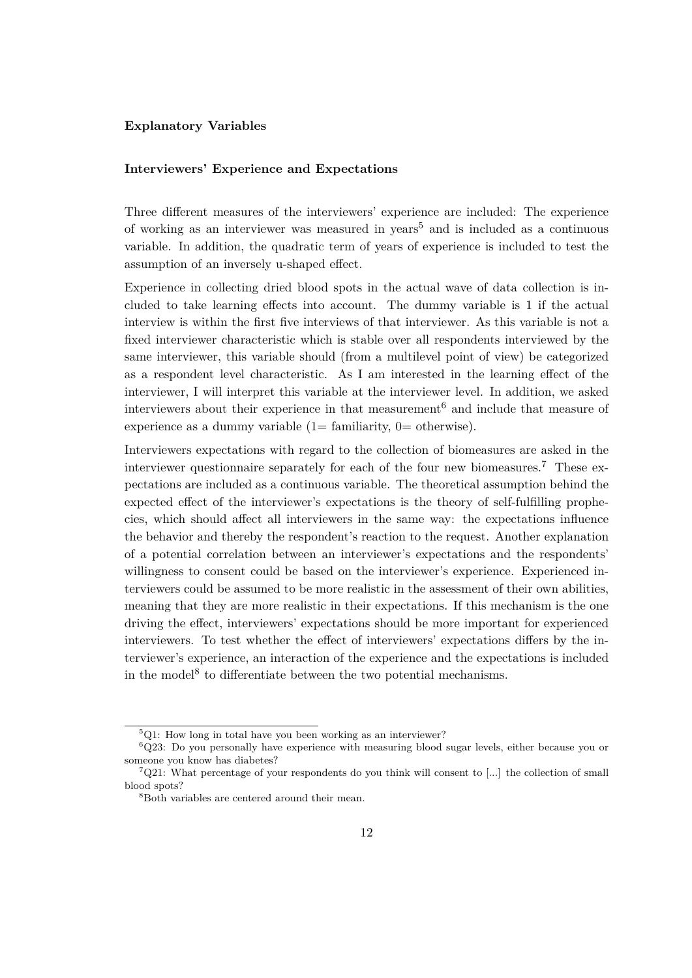## **Explanatory Variables**

#### **Interviewers' Experience and Expectations**

Three different measures of the interviewers' experience are included: The experience of working as an interviewer was measured in years<sup>5</sup> and is included as a continuous variable. In addition, the quadratic term of years of experience is included to test the assumption of an inversely u-shaped effect.

Experience in collecting dried blood spots in the actual wave of data collection is included to take learning effects into account. The dummy variable is 1 if the actual interview is within the first five interviews of that interviewer. As this variable is not a fixed interviewer characteristic which is stable over all respondents interviewed by the same interviewer, this variable should (from a multilevel point of view) be categorized as a respondent level characteristic. As I am interested in the learning effect of the interviewer, I will interpret this variable at the interviewer level. In addition, we asked interviewers about their experience in that measurement<sup>6</sup> and include that measure of experience as a dummy variable  $(1=$  familiarity,  $0=$  otherwise).

Interviewers expectations with regard to the collection of biomeasures are asked in the interviewer questionnaire separately for each of the four new biomeasures.<sup>7</sup> These expectations are included as a continuous variable. The theoretical assumption behind the expected effect of the interviewer's expectations is the theory of self-fulfilling prophecies, which should affect all interviewers in the same way: the expectations influence the behavior and thereby the respondent's reaction to the request. Another explanation of a potential correlation between an interviewer's expectations and the respondents' willingness to consent could be based on the interviewer's experience. Experienced interviewers could be assumed to be more realistic in the assessment of their own abilities, meaning that they are more realistic in their expectations. If this mechanism is the one driving the effect, interviewers' expectations should be more important for experienced interviewers. To test whether the effect of interviewers' expectations differs by the interviewer's experience, an interaction of the experience and the expectations is included in the model<sup>8</sup> to differentiate between the two potential mechanisms.

 $5Q1$ : How long in total have you been working as an interviewer?

 $6Q23$ : Do you personally have experience with measuring blood sugar levels, either because you or someone you know has diabetes?

 $7Q21$ : What percentage of your respondents do you think will consent to [...] the collection of small blood spots?

<sup>8</sup>Both variables are centered around their mean.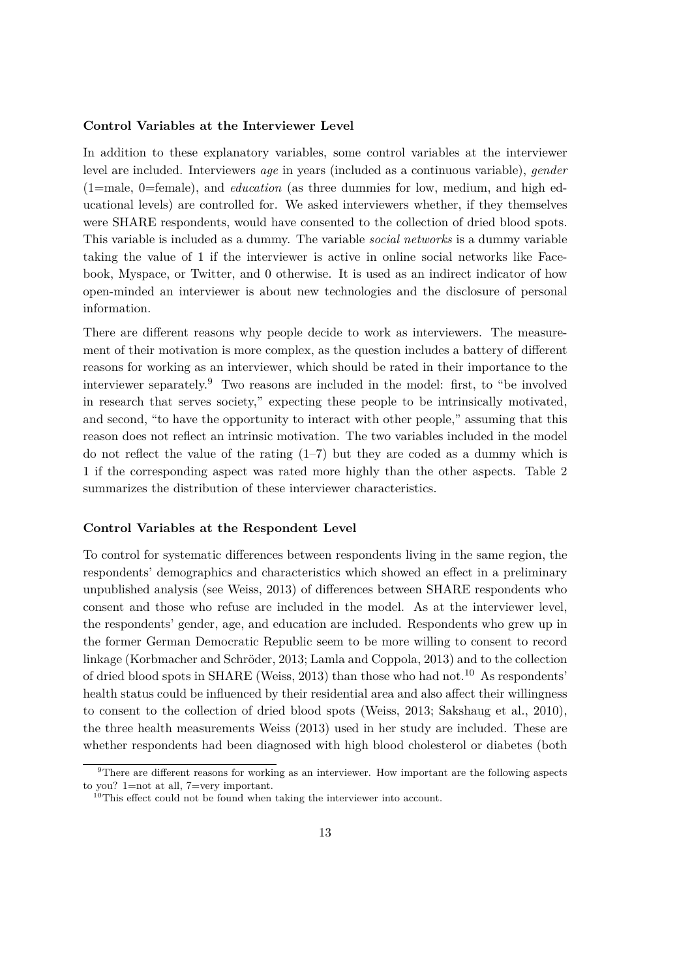#### **Control Variables at the Interviewer Level**

In addition to these explanatory variables, some control variables at the interviewer level are included. Interviewers *age* in years (included as a continuous variable), *gender* (1=male, 0=female), and *education* (as three dummies for low, medium, and high educational levels) are controlled for. We asked interviewers whether, if they themselves were SHARE respondents, would have consented to the collection of dried blood spots. This variable is included as a dummy. The variable *social networks* is a dummy variable taking the value of 1 if the interviewer is active in online social networks like Facebook, Myspace, or Twitter, and 0 otherwise. It is used as an indirect indicator of how open-minded an interviewer is about new technologies and the disclosure of personal information.

There are different reasons why people decide to work as interviewers. The measurement of their motivation is more complex, as the question includes a battery of different reasons for working as an interviewer, which should be rated in their importance to the interviewer separately.<sup>9</sup> Two reasons are included in the model: first, to "be involved in research that serves society," expecting these people to be intrinsically motivated, and second, "to have the opportunity to interact with other people," assuming that this reason does not reflect an intrinsic motivation. The two variables included in the model do not reflect the value of the rating  $(1-7)$  but they are coded as a dummy which is 1 if the corresponding aspect was rated more highly than the other aspects. Table 2 summarizes the distribution of these interviewer characteristics.

## **Control Variables at the Respondent Level**

To control for systematic differences between respondents living in the same region, the respondents' demographics and characteristics which showed an effect in a preliminary unpublished analysis (see Weiss, 2013) of differences between SHARE respondents who consent and those who refuse are included in the model. As at the interviewer level, the respondents' gender, age, and education are included. Respondents who grew up in the former German Democratic Republic seem to be more willing to consent to record linkage (Korbmacher and Schröder, 2013; Lamla and Coppola, 2013) and to the collection of dried blood spots in SHARE (Weiss, 2013) than those who had not.<sup>10</sup> As respondents' health status could be influenced by their residential area and also affect their willingness to consent to the collection of dried blood spots (Weiss, 2013; Sakshaug et al., 2010), the three health measurements Weiss (2013) used in her study are included. These are whether respondents had been diagnosed with high blood cholesterol or diabetes (both

<sup>9</sup>There are different reasons for working as an interviewer. How important are the following aspects to you? 1=not at all, 7=very important.

 $10$ This effect could not be found when taking the interviewer into account.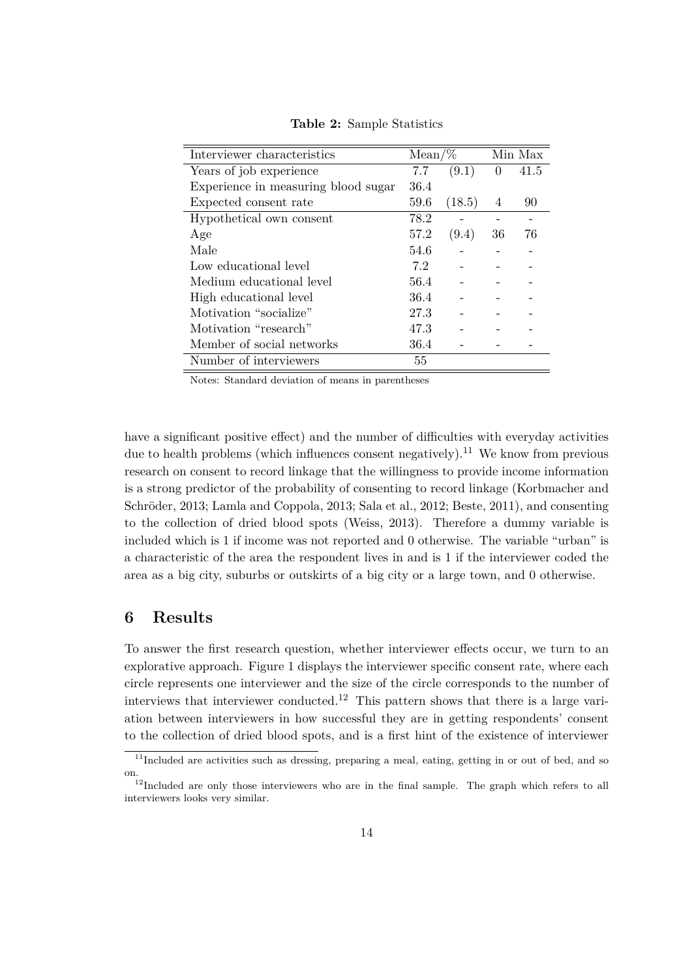| Interviewer characteristics         | $Mean\%$ |        | Min Max  |      |
|-------------------------------------|----------|--------|----------|------|
| Years of job experience             | 7.7      | (9.1)  | $\theta$ | 41.5 |
| Experience in measuring blood sugar | 36.4     |        |          |      |
| Expected consent rate               | 59.6     | (18.5) | 4        | 90   |
| Hypothetical own consent            | 78.2     |        |          |      |
| Age                                 | 57.2     | (9.4)  | 36       | 76   |
| Male                                | 54.6     |        |          |      |
| Low educational level               | 7.2      |        |          |      |
| Medium educational level            | 56.4     |        |          |      |
| High educational level              | 36.4     |        |          |      |
| Motivation "socialize"              | 27.3     |        |          |      |
| Motivation "research"               | 47.3     |        |          |      |
| Member of social networks           | 36.4     |        |          |      |
| Number of interviewers              | 55       |        |          |      |

**Table 2:** Sample Statistics

Notes: Standard deviation of means in parentheses

have a significant positive effect) and the number of difficulties with everyday activities due to health problems (which influences consent negatively).<sup>11</sup> We know from previous research on consent to record linkage that the willingness to provide income information is a strong predictor of the probability of consenting to record linkage (Korbmacher and Schröder, 2013; Lamla and Coppola, 2013; Sala et al., 2012; Beste, 2011), and consenting to the collection of dried blood spots (Weiss, 2013). Therefore a dummy variable is included which is 1 if income was not reported and 0 otherwise. The variable "urban" is a characteristic of the area the respondent lives in and is 1 if the interviewer coded the area as a big city, suburbs or outskirts of a big city or a large town, and 0 otherwise.

# **6 Results**

To answer the first research question, whether interviewer effects occur, we turn to an explorative approach. Figure 1 displays the interviewer specific consent rate, where each circle represents one interviewer and the size of the circle corresponds to the number of interviews that interviewer conducted.<sup>12</sup> This pattern shows that there is a large variation between interviewers in how successful they are in getting respondents' consent to the collection of dried blood spots, and is a first hint of the existence of interviewer

 $11$ Included are activities such as dressing, preparing a meal, eating, getting in or out of bed, and so on.

 $12$ Included are only those interviewers who are in the final sample. The graph which refers to all interviewers looks very similar.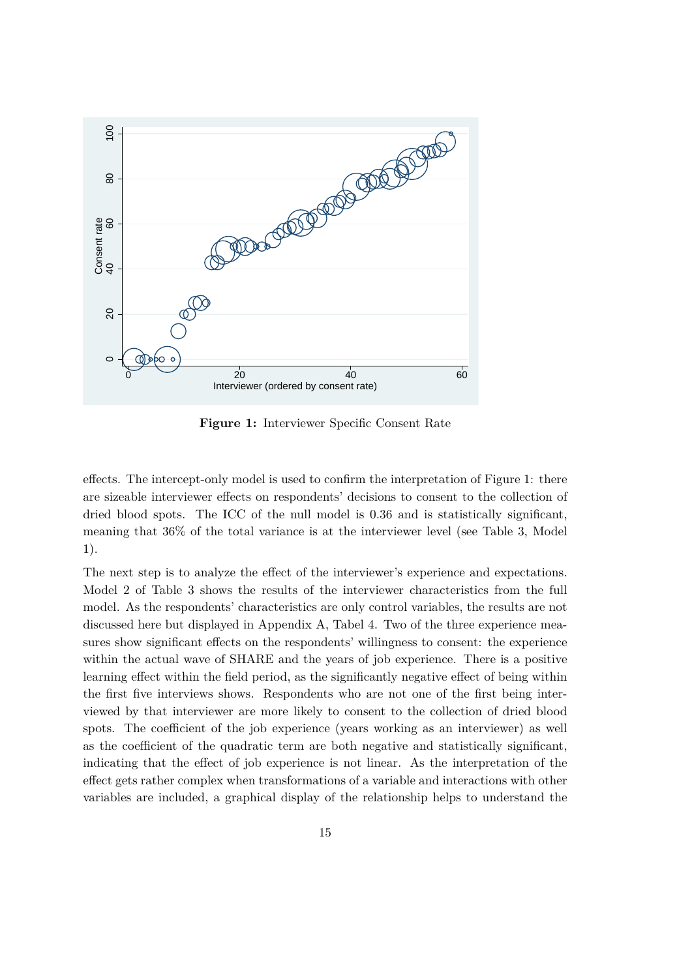

**Figure 1:** Interviewer Specific Consent Rate

effects. The intercept-only model is used to confirm the interpretation of Figure 1: there are sizeable interviewer effects on respondents' decisions to consent to the collection of dried blood spots. The ICC of the null model is 0.36 and is statistically significant, meaning that 36% of the total variance is at the interviewer level (see Table 3, Model 1).

The next step is to analyze the effect of the interviewer's experience and expectations. Model 2 of Table 3 shows the results of the interviewer characteristics from the full model. As the respondents' characteristics are only control variables, the results are not discussed here but displayed in Appendix A, Tabel 4. Two of the three experience measures show significant effects on the respondents' willingness to consent: the experience within the actual wave of SHARE and the years of job experience. There is a positive learning effect within the field period, as the significantly negative effect of being within the first five interviews shows. Respondents who are not one of the first being interviewed by that interviewer are more likely to consent to the collection of dried blood spots. The coefficient of the job experience (years working as an interviewer) as well as the coefficient of the quadratic term are both negative and statistically significant, indicating that the effect of job experience is not linear. As the interpretation of the effect gets rather complex when transformations of a variable and interactions with other variables are included, a graphical display of the relationship helps to understand the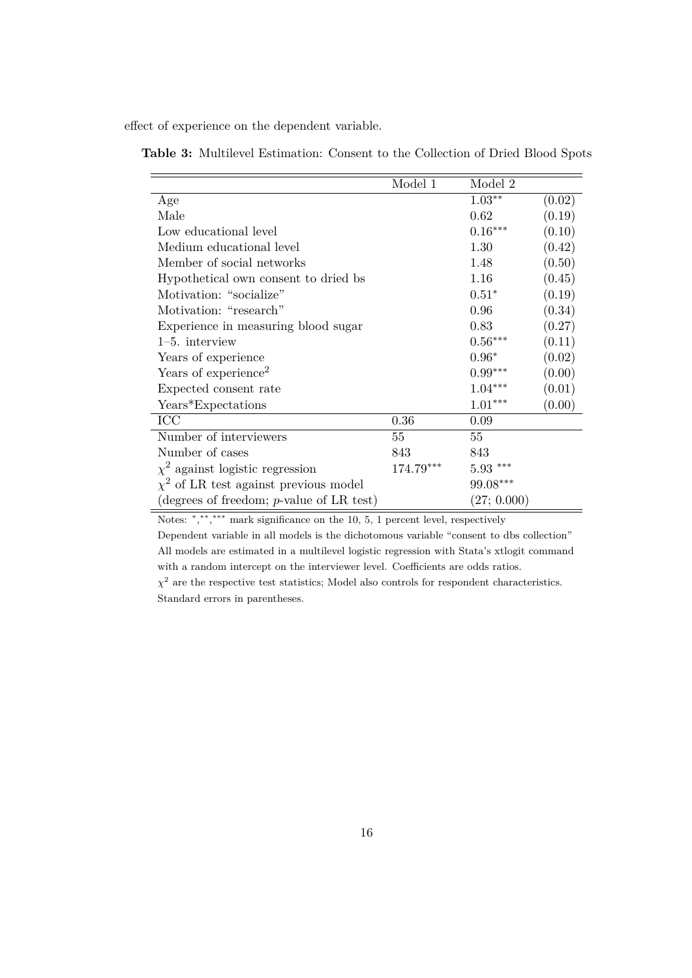effect of experience on the dependent variable.

|                                             | Model 1   | Model 2        |        |
|---------------------------------------------|-----------|----------------|--------|
| Age                                         |           | $1.03**$       | (0.02) |
| Male                                        |           | 0.62           | (0.19) |
| Low educational level                       |           | $0.16***$      | (0.10) |
| Medium educational level                    |           | 1.30           | (0.42) |
| Member of social networks                   |           | 1.48           | (0.50) |
| Hypothetical own consent to dried bs        |           | 1.16           | (0.45) |
| Motivation: "socialize"                     |           | $0.51*$        | (0.19) |
| Motivation: "research"                      |           | 0.96           | (0.34) |
| Experience in measuring blood sugar         |           | 0.83           | (0.27) |
| $1-5.$ interview                            |           | $0.56***$      | (0.11) |
| Years of experience                         |           | $0.96*$        | (0.02) |
| Years of experience <sup>2</sup>            |           | $0.99***$      | (0.00) |
| Expected consent rate                       |           | $1.04***$      | (0.01) |
| Years*Expectations                          |           | $1.01***$      | (0.00) |
| ICC                                         | 0.36      | 0.09           |        |
| Number of interviewers                      | 55        | 55             |        |
| Number of cases                             | 843       | 843            |        |
| $\chi^2$ against logistic regression        | 174.79*** | $5.93***$      |        |
| $\chi^2$ of LR test against previous model  |           | $99.08***$     |        |
| (degrees of freedom; $p$ -value of LR test) |           | $(27;\,0.000)$ |        |

**Table 3:** Multilevel Estimation: Consent to the Collection of Dried Blood Spots

Notes: \*,\*\*,\*\*\* mark significance on the 10, 5, 1 percent level, respectively

Dependent variable in all models is the dichotomous variable "consent to dbs collection" All models are estimated in a multilevel logistic regression with Stata's xtlogit command with a random intercept on the interviewer level. Coefficients are odds ratios.

 $\chi^2$  are the respective test statistics; Model also controls for respondent characteristics. Standard errors in parentheses.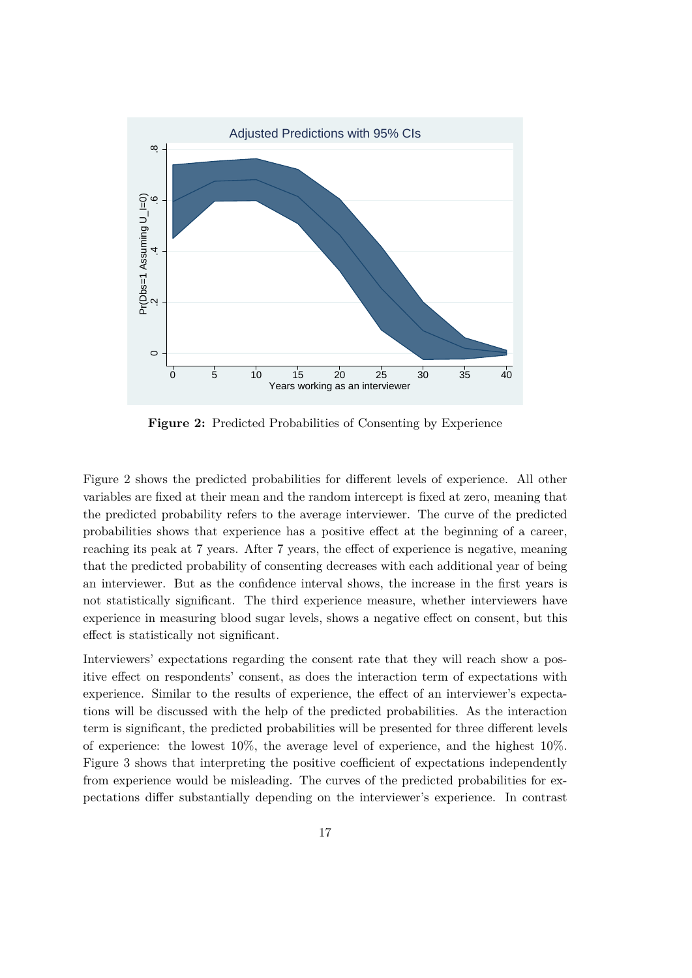

**Figure 2:** Predicted Probabilities of Consenting by Experience

Figure 2 shows the predicted probabilities for different levels of experience. All other variables are fixed at their mean and the random intercept is fixed at zero, meaning that the predicted probability refers to the average interviewer. The curve of the predicted probabilities shows that experience has a positive effect at the beginning of a career, reaching its peak at 7 years. After 7 years, the effect of experience is negative, meaning that the predicted probability of consenting decreases with each additional year of being an interviewer. But as the confidence interval shows, the increase in the first years is not statistically significant. The third experience measure, whether interviewers have experience in measuring blood sugar levels, shows a negative effect on consent, but this effect is statistically not significant.

Interviewers' expectations regarding the consent rate that they will reach show a positive effect on respondents' consent, as does the interaction term of expectations with experience. Similar to the results of experience, the effect of an interviewer's expectations will be discussed with the help of the predicted probabilities. As the interaction term is significant, the predicted probabilities will be presented for three different levels of experience: the lowest 10%, the average level of experience, and the highest 10%. Figure 3 shows that interpreting the positive coefficient of expectations independently from experience would be misleading. The curves of the predicted probabilities for expectations differ substantially depending on the interviewer's experience. In contrast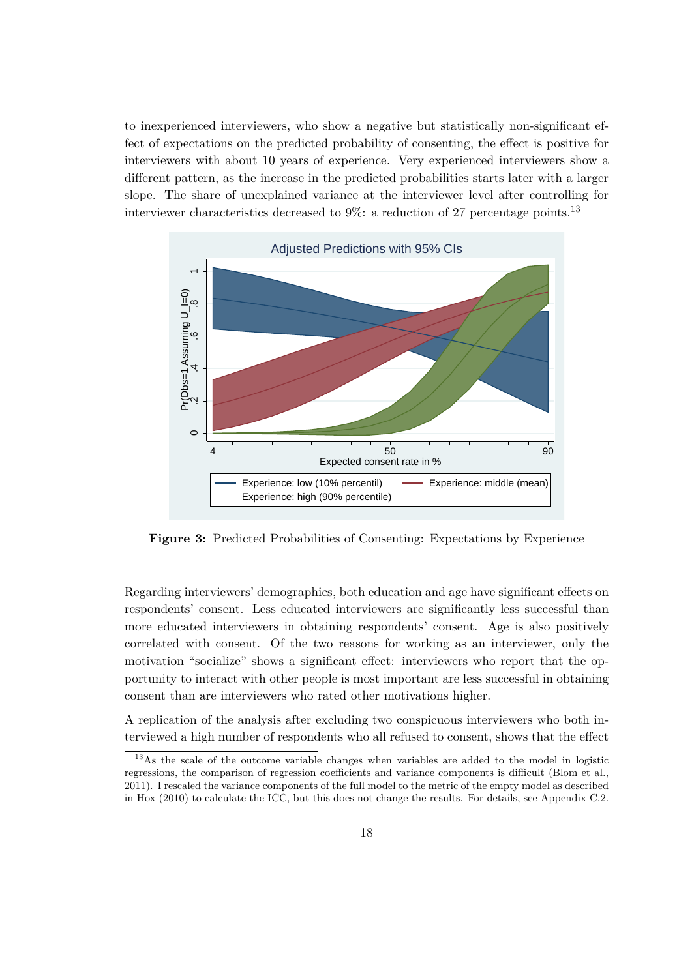to inexperienced interviewers, who show a negative but statistically non-significant effect of expectations on the predicted probability of consenting, the effect is positive for interviewers with about 10 years of experience. Very experienced interviewers show a different pattern, as the increase in the predicted probabilities starts later with a larger slope. The share of unexplained variance at the interviewer level after controlling for interviewer characteristics decreased to  $9\%$ : a reduction of 27 percentage points.<sup>13</sup>



**Figure 3:** Predicted Probabilities of Consenting: Expectations by Experience

Regarding interviewers' demographics, both education and age have significant effects on respondents' consent. Less educated interviewers are significantly less successful than more educated interviewers in obtaining respondents' consent. Age is also positively correlated with consent. Of the two reasons for working as an interviewer, only the motivation "socialize" shows a significant effect: interviewers who report that the opportunity to interact with other people is most important are less successful in obtaining consent than are interviewers who rated other motivations higher.

A replication of the analysis after excluding two conspicuous interviewers who both interviewed a high number of respondents who all refused to consent, shows that the effect

<sup>&</sup>lt;sup>13</sup>As the scale of the outcome variable changes when variables are added to the model in logistic regressions, the comparison of regression coefficients and variance components is difficult (Blom et al., 2011). I rescaled the variance components of the full model to the metric of the empty model as described in Hox (2010) to calculate the ICC, but this does not change the results. For details, see Appendix C.2.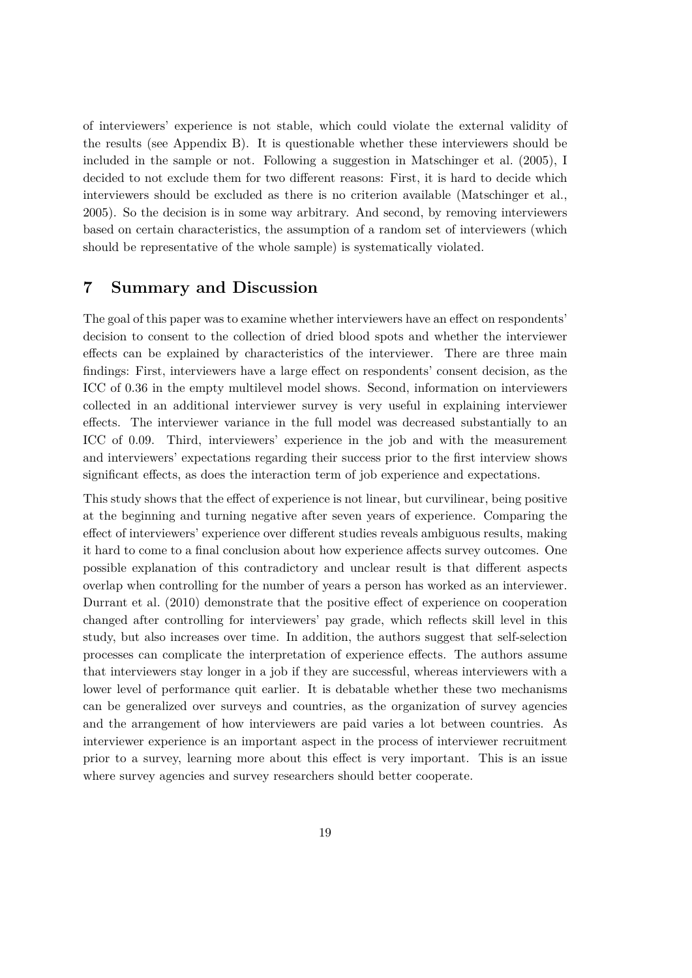of interviewers' experience is not stable, which could violate the external validity of the results (see Appendix B). It is questionable whether these interviewers should be included in the sample or not. Following a suggestion in Matschinger et al. (2005), I decided to not exclude them for two different reasons: First, it is hard to decide which interviewers should be excluded as there is no criterion available (Matschinger et al., 2005). So the decision is in some way arbitrary. And second, by removing interviewers based on certain characteristics, the assumption of a random set of interviewers (which should be representative of the whole sample) is systematically violated.

# **7 Summary and Discussion**

The goal of this paper was to examine whether interviewers have an effect on respondents' decision to consent to the collection of dried blood spots and whether the interviewer effects can be explained by characteristics of the interviewer. There are three main findings: First, interviewers have a large effect on respondents' consent decision, as the ICC of 0.36 in the empty multilevel model shows. Second, information on interviewers collected in an additional interviewer survey is very useful in explaining interviewer effects. The interviewer variance in the full model was decreased substantially to an ICC of 0.09. Third, interviewers' experience in the job and with the measurement and interviewers' expectations regarding their success prior to the first interview shows significant effects, as does the interaction term of job experience and expectations.

This study shows that the effect of experience is not linear, but curvilinear, being positive at the beginning and turning negative after seven years of experience. Comparing the effect of interviewers' experience over different studies reveals ambiguous results, making it hard to come to a final conclusion about how experience affects survey outcomes. One possible explanation of this contradictory and unclear result is that different aspects overlap when controlling for the number of years a person has worked as an interviewer. Durrant et al. (2010) demonstrate that the positive effect of experience on cooperation changed after controlling for interviewers' pay grade, which reflects skill level in this study, but also increases over time. In addition, the authors suggest that self-selection processes can complicate the interpretation of experience effects. The authors assume that interviewers stay longer in a job if they are successful, whereas interviewers with a lower level of performance quit earlier. It is debatable whether these two mechanisms can be generalized over surveys and countries, as the organization of survey agencies and the arrangement of how interviewers are paid varies a lot between countries. As interviewer experience is an important aspect in the process of interviewer recruitment prior to a survey, learning more about this effect is very important. This is an issue where survey agencies and survey researchers should better cooperate.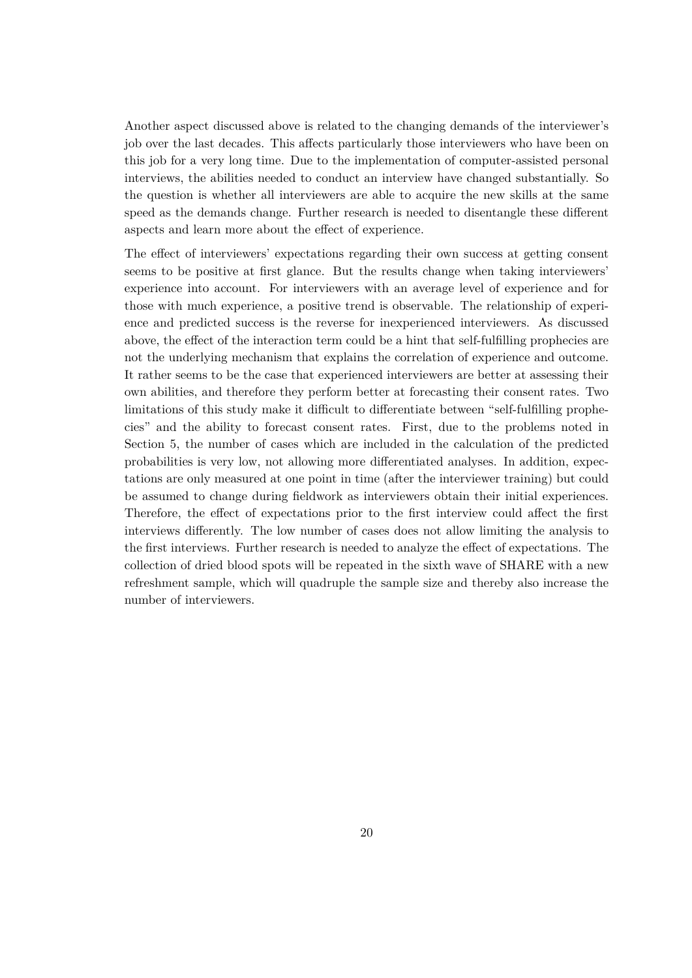Another aspect discussed above is related to the changing demands of the interviewer's job over the last decades. This affects particularly those interviewers who have been on this job for a very long time. Due to the implementation of computer-assisted personal interviews, the abilities needed to conduct an interview have changed substantially. So the question is whether all interviewers are able to acquire the new skills at the same speed as the demands change. Further research is needed to disentangle these different aspects and learn more about the effect of experience.

The effect of interviewers' expectations regarding their own success at getting consent seems to be positive at first glance. But the results change when taking interviewers' experience into account. For interviewers with an average level of experience and for those with much experience, a positive trend is observable. The relationship of experience and predicted success is the reverse for inexperienced interviewers. As discussed above, the effect of the interaction term could be a hint that self-fulfilling prophecies are not the underlying mechanism that explains the correlation of experience and outcome. It rather seems to be the case that experienced interviewers are better at assessing their own abilities, and therefore they perform better at forecasting their consent rates. Two limitations of this study make it difficult to differentiate between "self-fulfilling prophecies" and the ability to forecast consent rates. First, due to the problems noted in Section 5, the number of cases which are included in the calculation of the predicted probabilities is very low, not allowing more differentiated analyses. In addition, expectations are only measured at one point in time (after the interviewer training) but could be assumed to change during fieldwork as interviewers obtain their initial experiences. Therefore, the effect of expectations prior to the first interview could affect the first interviews differently. The low number of cases does not allow limiting the analysis to the first interviews. Further research is needed to analyze the effect of expectations. The collection of dried blood spots will be repeated in the sixth wave of SHARE with a new refreshment sample, which will quadruple the sample size and thereby also increase the number of interviewers.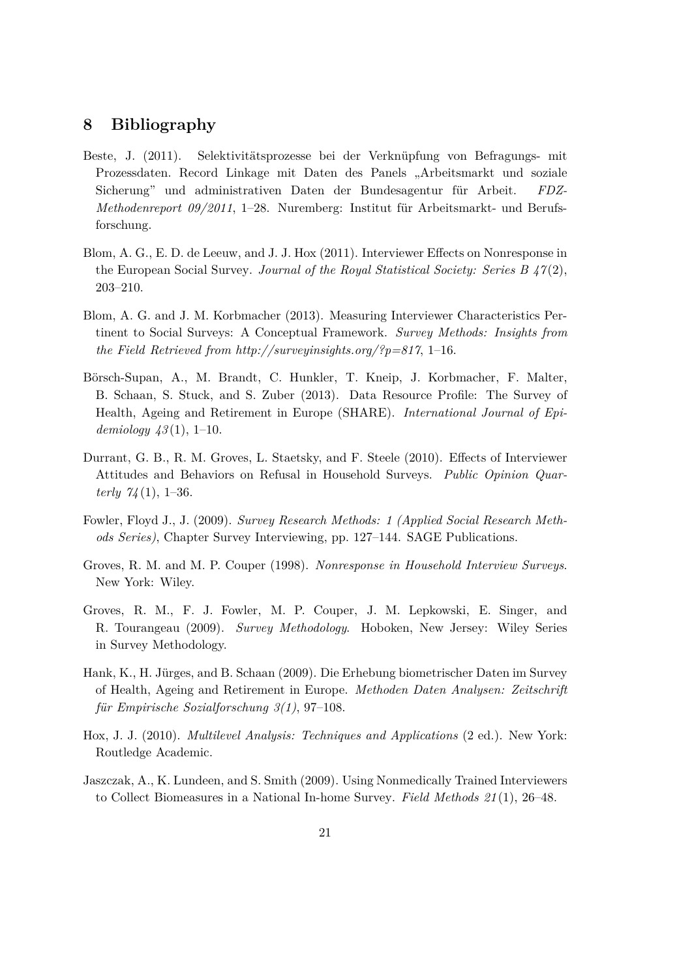# **8 Bibliography**

- Beste, J. (2011). Selektivitätsprozesse bei der Verknüpfung von Befragungs- mit Prozessdaten. Record Linkage mit Daten des Panels "Arbeitsmarkt und soziale Sicherung" und administrativen Daten der Bundesagentur für Arbeit. FDZ-*Methodenreport 09/2011*, 1–28. Nuremberg: Institut für Arbeitsmarkt- und Berufsforschung.
- Blom, A. G., E. D. de Leeuw, and J. J. Hox (2011). Interviewer Effects on Nonresponse in the European Social Survey. *Journal of the Royal Statistical Society: Series B 47* (2), 203–210.
- Blom, A. G. and J. M. Korbmacher (2013). Measuring Interviewer Characteristics Pertinent to Social Surveys: A Conceptual Framework. *Survey Methods: Insights from the Field Retrieved from http://surveyinsights.org/?p=817*, 1–16.
- Börsch-Supan, A., M. Brandt, C. Hunkler, T. Kneip, J. Korbmacher, F. Malter, B. Schaan, S. Stuck, and S. Zuber (2013). Data Resource Profile: The Survey of Health, Ageing and Retirement in Europe (SHARE). *International Journal of Epidemiology 43* (1), 1–10.
- Durrant, G. B., R. M. Groves, L. Staetsky, and F. Steele (2010). Effects of Interviewer Attitudes and Behaviors on Refusal in Household Surveys. *Public Opinion Quarterly 74* (1), 1–36.
- Fowler, Floyd J., J. (2009). *Survey Research Methods: 1 (Applied Social Research Methods Series)*, Chapter Survey Interviewing, pp. 127–144. SAGE Publications.
- Groves, R. M. and M. P. Couper (1998). *Nonresponse in Household Interview Surveys*. New York: Wiley.
- Groves, R. M., F. J. Fowler, M. P. Couper, J. M. Lepkowski, E. Singer, and R. Tourangeau (2009). *Survey Methodology*. Hoboken, New Jersey: Wiley Series in Survey Methodology.
- Hank, K., H. Jürges, and B. Schaan (2009). Die Erhebung biometrischer Daten im Survey of Health, Ageing and Retirement in Europe. *Methoden Daten Analysen: Zeitschrift f¨ur Empirische Sozialforschung 3(1)*, 97–108.
- Hox, J. J. (2010). *Multilevel Analysis: Techniques and Applications* (2 ed.). New York: Routledge Academic.
- Jaszczak, A., K. Lundeen, and S. Smith (2009). Using Nonmedically Trained Interviewers to Collect Biomeasures in a National In-home Survey. *Field Methods 21* (1), 26–48.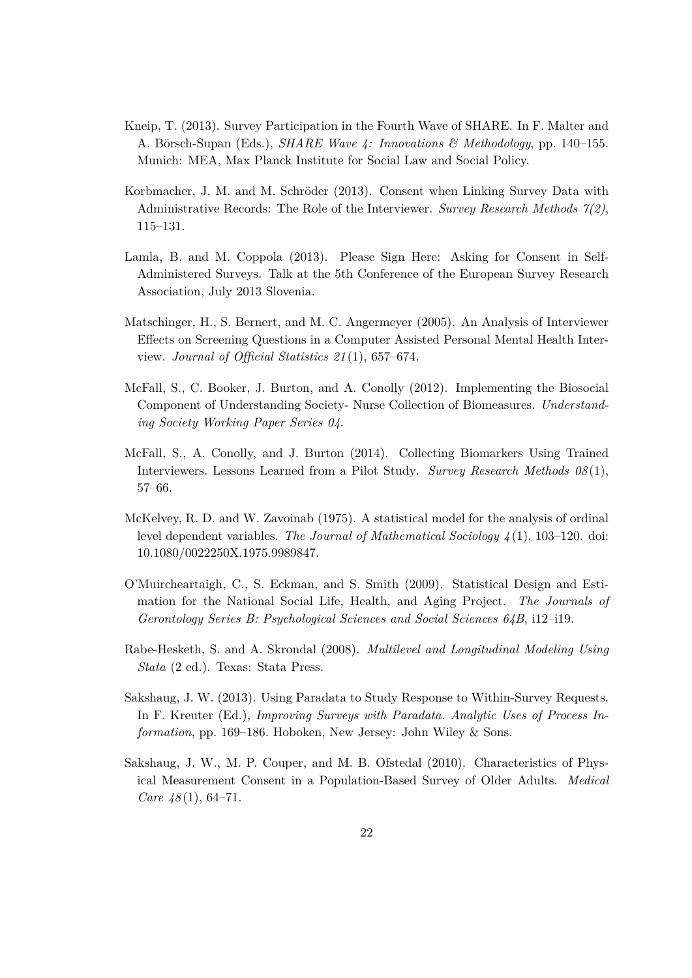- Kneip, T. (2013). Survey Participation in the Fourth Wave of SHARE. In F. Malter and A. Börsch-Supan (Eds.), *SHARE Wave 4: Innovations & Methodology*, pp. 140–155. Munich: MEA, Max Planck Institute for Social Law and Social Policy.
- Korbmacher, J. M. and M. Schröder (2013). Consent when Linking Survey Data with Administrative Records: The Role of the Interviewer. *Survey Research Methods 7(2)*, 115–131.
- Lamla, B. and M. Coppola (2013). Please Sign Here: Asking for Consent in Self-Administered Surveys. Talk at the 5th Conference of the European Survey Research Association, July 2013 Slovenia.
- Matschinger, H., S. Bernert, and M. C. Angermeyer (2005). An Analysis of Interviewer Effects on Screening Questions in a Computer Assisted Personal Mental Health Interview. *Journal of Official Statistics 21* (1), 657–674.
- McFall, S., C. Booker, J. Burton, and A. Conolly (2012). Implementing the Biosocial Component of Understanding Society- Nurse Collection of Biomeasures. *Understanding Society Working Paper Series 04*.
- McFall, S., A. Conolly, and J. Burton (2014). Collecting Biomarkers Using Trained Interviewers. Lessons Learned from a Pilot Study. *Survey Research Methods 08* (1), 57–66.
- McKelvey, R. D. and W. Zavoinab (1975). A statistical model for the analysis of ordinal level dependent variables. *The Journal of Mathematical Sociology 4* (1), 103–120. doi: 10.1080/0022250X.1975.9989847.
- O'Muircheartaigh, C., S. Eckman, and S. Smith (2009). Statistical Design and Estimation for the National Social Life, Health, and Aging Project. *The Journals of Gerontology Series B: Psychological Sciences and Social Sciences 64B*, i12–i19.
- Rabe-Hesketh, S. and A. Skrondal (2008). *Multilevel and Longitudinal Modeling Using Stata* (2 ed.). Texas: Stata Press.
- Sakshaug, J. W. (2013). Using Paradata to Study Response to Within-Survey Requests. In F. Kreuter (Ed.), *Improving Surveys with Paradata. Analytic Uses of Process Information*, pp. 169–186. Hoboken, New Jersey: John Wiley & Sons.
- Sakshaug, J. W., M. P. Couper, and M. B. Ofstedal (2010). Characteristics of Physical Measurement Consent in a Population-Based Survey of Older Adults. *Medical Care 48* (1), 64–71.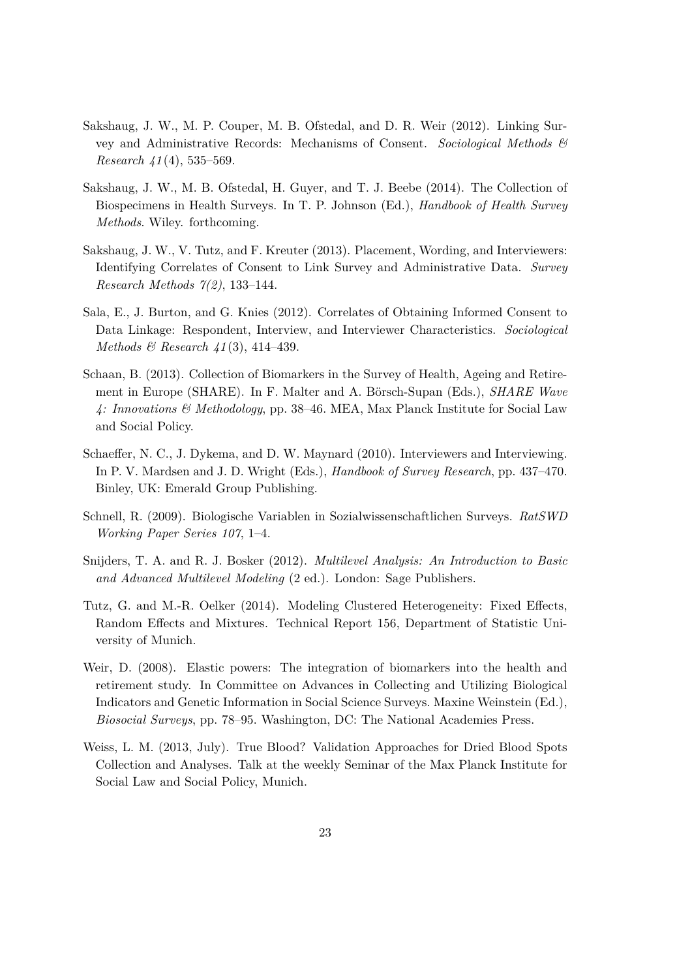- Sakshaug, J. W., M. P. Couper, M. B. Ofstedal, and D. R. Weir (2012). Linking Survey and Administrative Records: Mechanisms of Consent. *Sociological Methods & Research 41* (4), 535–569.
- Sakshaug, J. W., M. B. Ofstedal, H. Guyer, and T. J. Beebe (2014). The Collection of Biospecimens in Health Surveys. In T. P. Johnson (Ed.), *Handbook of Health Survey Methods*. Wiley. forthcoming.
- Sakshaug, J. W., V. Tutz, and F. Kreuter (2013). Placement, Wording, and Interviewers: Identifying Correlates of Consent to Link Survey and Administrative Data. *Survey Research Methods 7(2)*, 133–144.
- Sala, E., J. Burton, and G. Knies (2012). Correlates of Obtaining Informed Consent to Data Linkage: Respondent, Interview, and Interviewer Characteristics. *Sociological Methods & Research 41* (3), 414–439.
- Schaan, B. (2013). Collection of Biomarkers in the Survey of Health, Ageing and Retirement in Europe (SHARE). In F. Malter and A. Börsch-Supan (Eds.), *SHARE Wave 4: Innovations & Methodology*, pp. 38–46. MEA, Max Planck Institute for Social Law and Social Policy.
- Schaeffer, N. C., J. Dykema, and D. W. Maynard (2010). Interviewers and Interviewing. In P. V. Mardsen and J. D. Wright (Eds.), *Handbook of Survey Research*, pp. 437–470. Binley, UK: Emerald Group Publishing.
- Schnell, R. (2009). Biologische Variablen in Sozialwissenschaftlichen Surveys. *RatSWD Working Paper Series 107*, 1–4.
- Snijders, T. A. and R. J. Bosker (2012). *Multilevel Analysis: An Introduction to Basic and Advanced Multilevel Modeling* (2 ed.). London: Sage Publishers.
- Tutz, G. and M.-R. Oelker (2014). Modeling Clustered Heterogeneity: Fixed Effects, Random Effects and Mixtures. Technical Report 156, Department of Statistic University of Munich.
- Weir, D. (2008). Elastic powers: The integration of biomarkers into the health and retirement study. In Committee on Advances in Collecting and Utilizing Biological Indicators and Genetic Information in Social Science Surveys. Maxine Weinstein (Ed.), *Biosocial Surveys*, pp. 78–95. Washington, DC: The National Academies Press.
- Weiss, L. M. (2013, July). True Blood? Validation Approaches for Dried Blood Spots Collection and Analyses. Talk at the weekly Seminar of the Max Planck Institute for Social Law and Social Policy, Munich.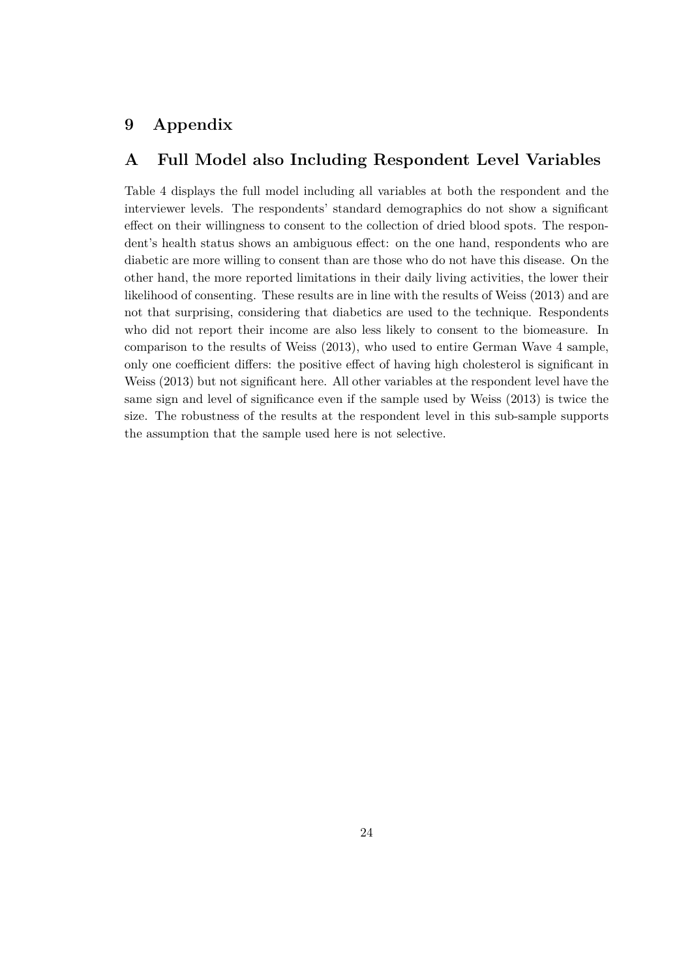# **9 Appendix**

# **A Full Model also Including Respondent Level Variables**

Table 4 displays the full model including all variables at both the respondent and the interviewer levels. The respondents' standard demographics do not show a significant effect on their willingness to consent to the collection of dried blood spots. The respondent's health status shows an ambiguous effect: on the one hand, respondents who are diabetic are more willing to consent than are those who do not have this disease. On the other hand, the more reported limitations in their daily living activities, the lower their likelihood of consenting. These results are in line with the results of Weiss (2013) and are not that surprising, considering that diabetics are used to the technique. Respondents who did not report their income are also less likely to consent to the biomeasure. In comparison to the results of Weiss (2013), who used to entire German Wave 4 sample, only one coefficient differs: the positive effect of having high cholesterol is significant in Weiss (2013) but not significant here. All other variables at the respondent level have the same sign and level of significance even if the sample used by Weiss (2013) is twice the size. The robustness of the results at the respondent level in this sub-sample supports the assumption that the sample used here is not selective.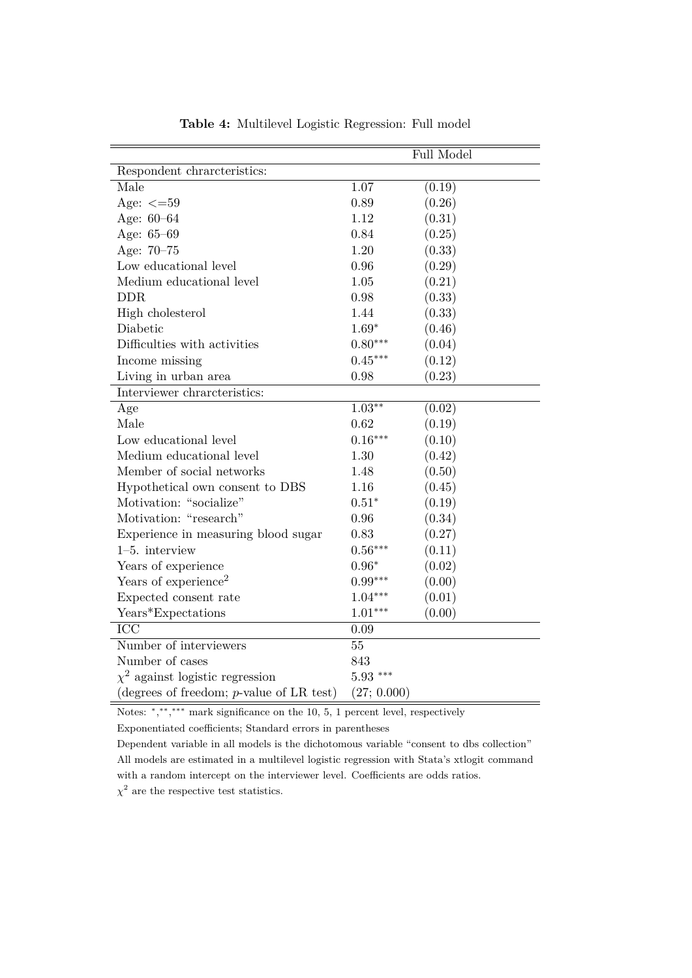|                                             | Full Model  |        |  |
|---------------------------------------------|-------------|--------|--|
| Respondent chraneteristics:                 |             |        |  |
| Male                                        | 1.07        | (0.19) |  |
| Age: $\leq$ =59                             | 0.89        | (0.26) |  |
| Age: $60 - 64$                              | 1.12        | (0.31) |  |
| Age: 65-69                                  | 0.84        | (0.25) |  |
| Age: 70-75                                  | 1.20        | (0.33) |  |
| Low educational level                       | 0.96        | (0.29) |  |
| Medium educational level                    | 1.05        | (0.21) |  |
| <b>DDR</b>                                  | 0.98        | (0.33) |  |
| High cholesterol                            | 1.44        | (0.33) |  |
| Diabetic                                    | $1.69*$     | (0.46) |  |
| Difficulties with activities                | $0.80***$   | (0.04) |  |
| Income missing                              | $0.45***$   | (0.12) |  |
| Living in urban area                        | 0.98        | (0.23) |  |
| Interviewer chrarcteristics:                |             |        |  |
| Age                                         | $1.03**$    | (0.02) |  |
| Male                                        | 0.62        | (0.19) |  |
| Low educational level                       | $0.16***$   | (0.10) |  |
| Medium educational level                    | 1.30        | (0.42) |  |
| Member of social networks                   | 1.48        | (0.50) |  |
| Hypothetical own consent to DBS             | 1.16        | (0.45) |  |
| Motivation: "socialize"                     | $0.51*$     | (0.19) |  |
| Motivation: "research"                      | 0.96        | (0.34) |  |
| Experience in measuring blood sugar         | 0.83        | (0.27) |  |
| $1-5.$ interview                            | $0.56***$   | (0.11) |  |
| Years of experience                         | $0.96*$     | (0.02) |  |
| Years of experience <sup>2</sup>            | $0.99***$   | (0.00) |  |
| Expected consent rate                       | $1.04***$   | (0.01) |  |
| Years*Expectations                          | $1.01***$   | (0.00) |  |
| ICC                                         | 0.09        |        |  |
| Number of interviewers                      | 55          |        |  |
| Number of cases                             | 843         |        |  |
| $\chi^2$ against logistic regression        | $5.93***$   |        |  |
| (degrees of freedom; $p$ -value of LR test) | (27; 0.000) |        |  |

**Table 4:** Multilevel Logistic Regression: Full model

Notes: \*,\*\*,\*\*\* mark significance on the 10, 5, 1 percent level, respectively

Exponentiated coefficients; Standard errors in parentheses

Dependent variable in all models is the dichotomous variable "consent to dbs collection" All models are estimated in a multilevel logistic regression with Stata's xtlogit command with a random intercept on the interviewer level. Coefficients are odds ratios.

 $\chi^2$  are the respective test statistics.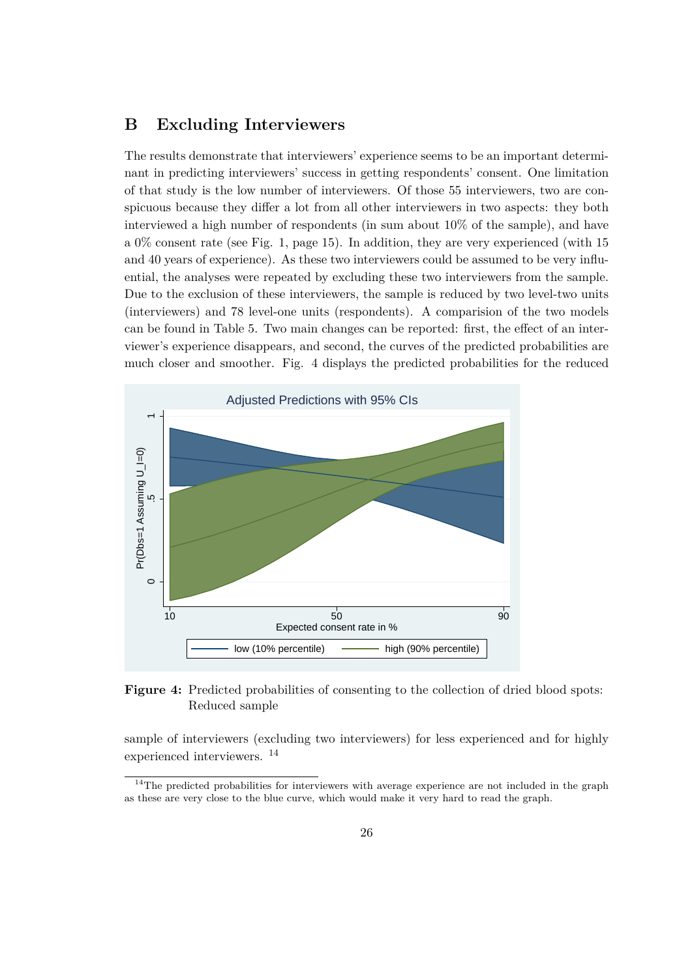# **B Excluding Interviewers**

The results demonstrate that interviewers' experience seems to be an important determinant in predicting interviewers' success in getting respondents' consent. One limitation of that study is the low number of interviewers. Of those 55 interviewers, two are conspicuous because they differ a lot from all other interviewers in two aspects: they both interviewed a high number of respondents (in sum about 10% of the sample), and have a 0% consent rate (see Fig. 1, page 15). In addition, they are very experienced (with 15 and 40 years of experience). As these two interviewers could be assumed to be very influential, the analyses were repeated by excluding these two interviewers from the sample. Due to the exclusion of these interviewers, the sample is reduced by two level-two units (interviewers) and 78 level-one units (respondents). A comparision of the two models can be found in Table 5. Two main changes can be reported: first, the effect of an interviewer's experience disappears, and second, the curves of the predicted probabilities are much closer and smoother. Fig. 4 displays the predicted probabilities for the reduced



## **Figure 4:** Predicted probabilities of consenting to the collection of dried blood spots: Reduced sample

sample of interviewers (excluding two interviewers) for less experienced and for highly experienced interviewers. <sup>14</sup>

 $14$ The predicted probabilities for interviewers with average experience are not included in the graph as these are very close to the blue curve, which would make it very hard to read the graph.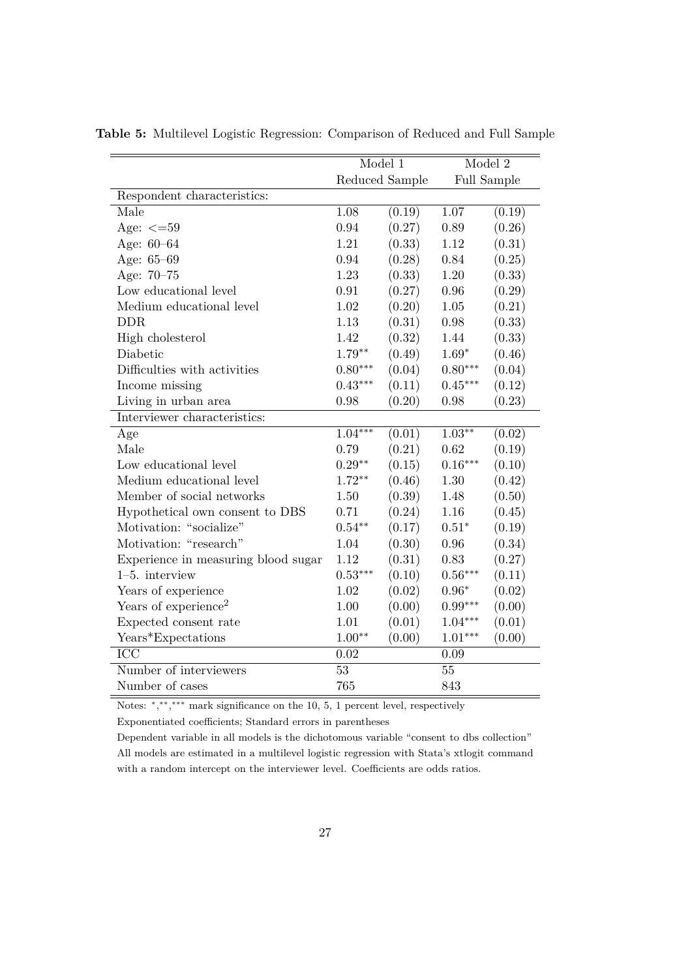|                                     | Model 1        |        | Model 2   |             |
|-------------------------------------|----------------|--------|-----------|-------------|
|                                     | Reduced Sample |        |           | Full Sample |
| Respondent characteristics:         |                |        |           |             |
| Male                                | 1.08           | (0.19) | 1.07      | (0.19)      |
| Age: $\leq$ =59                     | 0.94           | (0.27) | 0.89      | (0.26)      |
| Age: 60-64                          | 1.21           | (0.33) | 1.12      | (0.31)      |
| Age: 65-69                          | 0.94           | (0.28) | 0.84      | (0.25)      |
| Age: 70-75                          | 1.23           | (0.33) | $1.20\,$  | (0.33)      |
| Low educational level               | 0.91           | (0.27) | 0.96      | (0.29)      |
| Medium educational level            | 1.02           | (0.20) | 1.05      | (0.21)      |
| <b>DDR</b>                          | 1.13           | (0.31) | 0.98      | (0.33)      |
| High cholesterol                    | 1.42           | (0.32) | 1.44      | (0.33)      |
| Diabetic                            | $1.79**$       | (0.49) | $1.69*$   | (0.46)      |
| Difficulties with activities        | $0.80***$      | (0.04) | $0.80***$ | (0.04)      |
| Income missing                      | $0.43***$      | (0.11) | $0.45***$ | (0.12)      |
| Living in urban area                | 0.98           | (0.20) | 0.98      | (0.23)      |
| Interviewer characteristics:        |                |        |           |             |
| Age                                 | $1.04***$      | (0.01) | $1.03***$ | (0.02)      |
| Male                                | 0.79           | (0.21) | 0.62      | (0.19)      |
| Low educational level               | $0.29**$       | (0.15) | $0.16***$ | (0.10)      |
| Medium educational level            | $1.72**$       | (0.46) | 1.30      | (0.42)      |
| Member of social networks           | 1.50           | (0.39) | 1.48      | (0.50)      |
| Hypothetical own consent to DBS     | 0.71           | (0.24) | 1.16      | (0.45)      |
| Motivation: "socialize"             | $0.54***$      | (0.17) | $0.51*$   | (0.19)      |
| Motivation: "research"              | 1.04           | (0.30) | 0.96      | (0.34)      |
| Experience in measuring blood sugar | 1.12           | (0.31) | 0.83      | (0.27)      |
| $1-5$ . interview                   | $0.53***$      | (0.10) | $0.56***$ | (0.11)      |
| Years of experience                 | 1.02           | (0.02) | $0.96*$   | (0.02)      |
| Years of experience <sup>2</sup>    | 1.00           | (0.00) | $0.99***$ | (0.00)      |
| Expected consent rate               | 1.01           | (0.01) | $1.04***$ | (0.01)      |
| Years*Expectations                  | $1.00**$       | (0.00) | $1.01***$ | (0.00)      |
| $\overline{\text{ICC}}$             | 0.02           |        | 0.09      |             |
| Number of interviewers              | 53             |        | 55        |             |
| Number of cases                     | 765            |        | 843       |             |

**Table 5:** Multilevel Logistic Regression: Comparison of Reduced and Full Sample

Notes: \*,\*\*,\*\*\* mark significance on the 10, 5, 1 percent level, respectively

Exponentiated coefficients; Standard errors in parentheses

Dependent variable in all models is the dichotomous variable "consent to dbs collection" All models are estimated in a multilevel logistic regression with Stata's xtlogit command with a random intercept on the interviewer level. Coefficients are odds ratios.